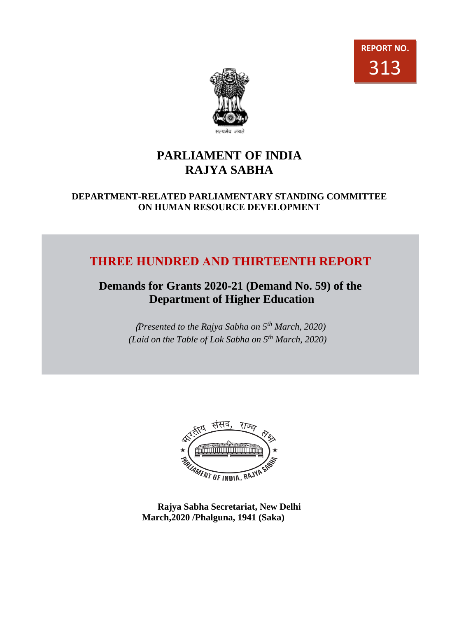



# **PARLIAMENT OF INDIA RAJYA SABHA**

## **DEPARTMENT-RELATED PARLIAMENTARY STANDING COMMITTEE ON HUMAN RESOURCE DEVELOPMENT**

# **THREE HUNDRED AND THIRTEENTH REPORT**

# **Demands for Grants 2020-21 (Demand No. 59) of the Department of Higher Education**

(*Presented to the Rajya Sabha on 5th March, 2020) (Laid on the Table of Lok Sabha on 5th March, 2020)*



**Rajya Sabha Secretariat, New Delhi March,2020 /Phalguna, 1941 (Saka)**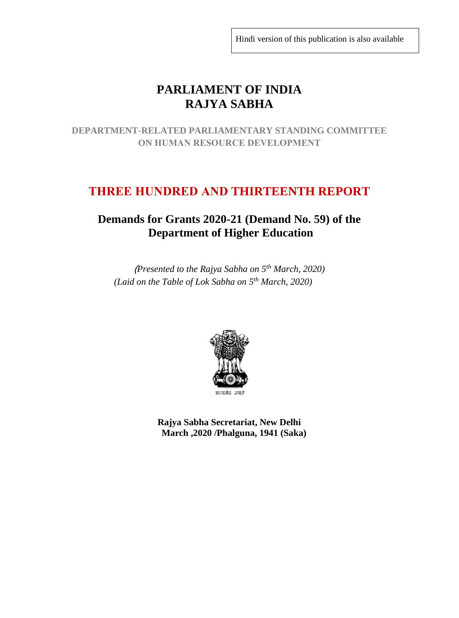Hindi version of this publication is also available

# **PARLIAMENT OF INDIA RAJYA SABHA**

**DEPARTMENT-RELATED PARLIAMENTARY STANDING COMMITTEE ON HUMAN RESOURCE DEVELOPMENT**

# **THREE HUNDRED AND THIRTEENTH REPORT**

## **Demands for Grants 2020-21 (Demand No. 59) of the Department of Higher Education**

(*Presented to the Rajya Sabha on 5th March, 2020) (Laid on the Table of Lok Sabha on 5 th March, 2020)*



**Rajya Sabha Secretariat, New Delhi March ,2020 /Phalguna, 1941 (Saka)**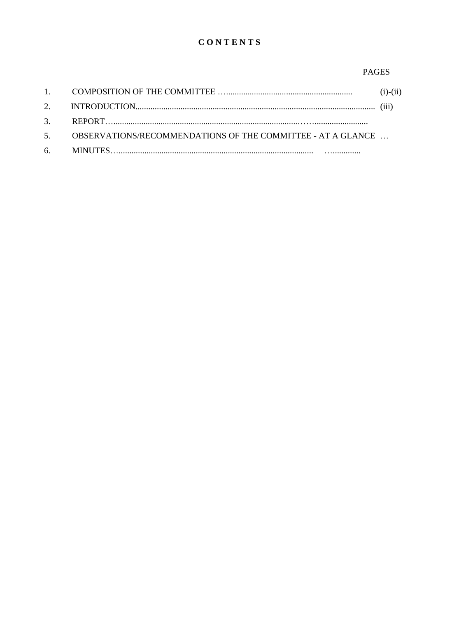## **CONTENTS**

#### **PAGES**

|                                                                | $(i)-(ii)$ |
|----------------------------------------------------------------|------------|
|                                                                |            |
|                                                                |            |
| 5. OBSERVATIONS/RECOMMENDATIONS OF THE COMMITTEE - AT A GLANCE |            |
|                                                                |            |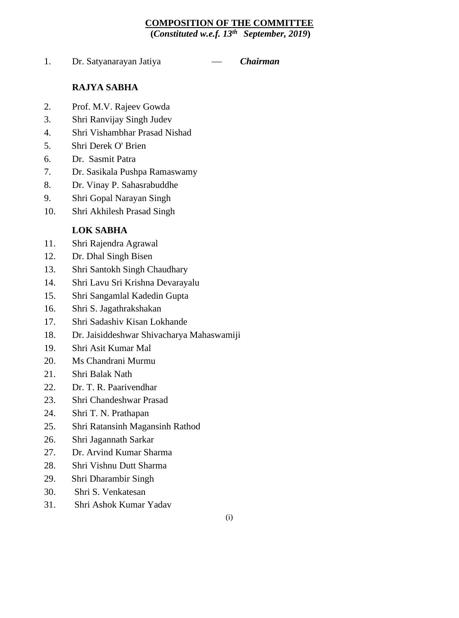## **COMPOSITION OF THE COMMITTEE**

**(***Constituted w.e.f. 13th September, 2019***)**

1. Dr. Satyanarayan Jatiya — *Chairman* 

## **RAJYA SABHA**

- 2. Prof. M.V. Rajeev Gowda
- 3. Shri Ranvijay Singh Judev
- 4. Shri Vishambhar Prasad Nishad
- 5. Shri Derek O' Brien
- 6. Dr. Sasmit Patra
- 7. Dr. Sasikala Pushpa Ramaswamy
- 8. Dr. Vinay P. Sahasrabuddhe
- 9. Shri Gopal Narayan Singh
- 10. Shri Akhilesh Prasad Singh

## **LOK SABHA**

- 11. Shri Rajendra Agrawal
- 12. Dr. Dhal Singh Bisen
- 13. Shri Santokh Singh Chaudhary
- 14. Shri Lavu Sri Krishna Devarayalu
- 15. Shri Sangamlal Kadedin Gupta
- 16. Shri S. Jagathrakshakan
- 17. Shri Sadashiv Kisan Lokhande
- 18. Dr. Jaisiddeshwar Shivacharya Mahaswamiji
- 19. Shri Asit Kumar Mal
- 20. Ms Chandrani Murmu
- 21. Shri Balak Nath
- 22. Dr. T. R. Paarivendhar
- 23. Shri Chandeshwar Prasad
- 24. Shri T. N. Prathapan
- 25. Shri Ratansinh Magansinh Rathod
- 26. Shri Jagannath Sarkar
- 27. Dr. Arvind Kumar Sharma
- 28. Shri Vishnu Dutt Sharma
- 29. Shri Dharambir Singh
- 30. Shri S. Venkatesan
- 31. Shri Ashok Kumar Yadav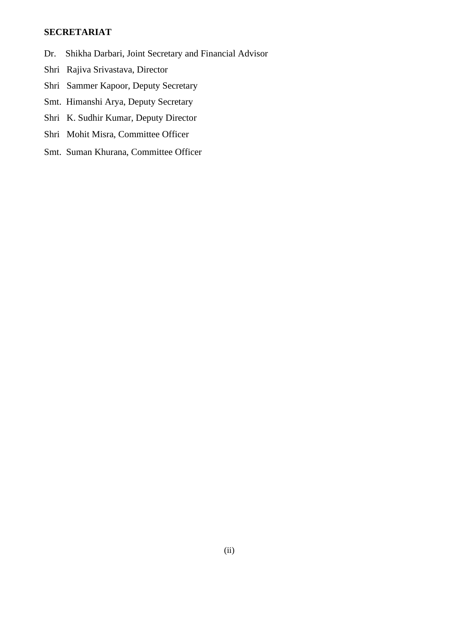## **SECRETARIAT**

- Dr. Shikha Darbari, Joint Secretary and Financial Advisor
- Shri Rajiva Srivastava, Director
- Shri Sammer Kapoor, Deputy Secretary
- Smt. Himanshi Arya, Deputy Secretary
- Shri K. Sudhir Kumar, Deputy Director
- Shri Mohit Misra, Committee Officer
- Smt. Suman Khurana, Committee Officer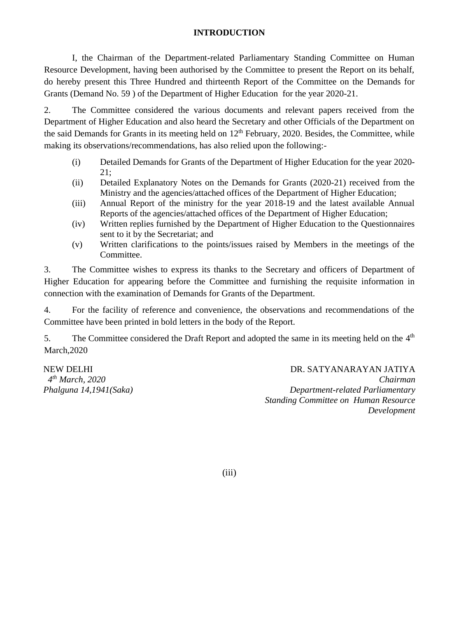#### **INTRODUCTION**

I, the Chairman of the Department-related Parliamentary Standing Committee on Human Resource Development, having been authorised by the Committee to present the Report on its behalf, do hereby present this Three Hundred and thirteenth Report of the Committee on the Demands for Grants (Demand No. 59 ) of the Department of Higher Education for the year 2020-21.

2. The Committee considered the various documents and relevant papers received from the Department of Higher Education and also heard the Secretary and other Officials of the Department on the said Demands for Grants in its meeting held on  $12<sup>th</sup>$  February, 2020. Besides, the Committee, while making its observations/recommendations, has also relied upon the following:-

- (i) Detailed Demands for Grants of the Department of Higher Education for the year 2020- 21;
- (ii) Detailed Explanatory Notes on the Demands for Grants (2020-21) received from the Ministry and the agencies/attached offices of the Department of Higher Education;
- (iii) Annual Report of the ministry for the year 2018-19 and the latest available Annual Reports of the agencies/attached offices of the Department of Higher Education;
- (iv) Written replies furnished by the Department of Higher Education to the Questionnaires sent to it by the Secretariat; and
- (v) Written clarifications to the points/issues raised by Members in the meetings of the Committee.

3. The Committee wishes to express its thanks to the Secretary and officers of Department of Higher Education for appearing before the Committee and furnishing the requisite information in connection with the examination of Demands for Grants of the Department.

4. For the facility of reference and convenience, the observations and recommendations of the Committee have been printed in bold letters in the body of the Report.

5. The Committee considered the Draft Report and adopted the same in its meeting held on the 4<sup>th</sup> March,2020

NEW DELHI *4 th March, 2020 Phalguna 14,1941(Saka)*

DR. SATYANARAYAN JATIYA *Chairman Department-related Parliamentary Standing Committee on Human Resource Development* 

(iii)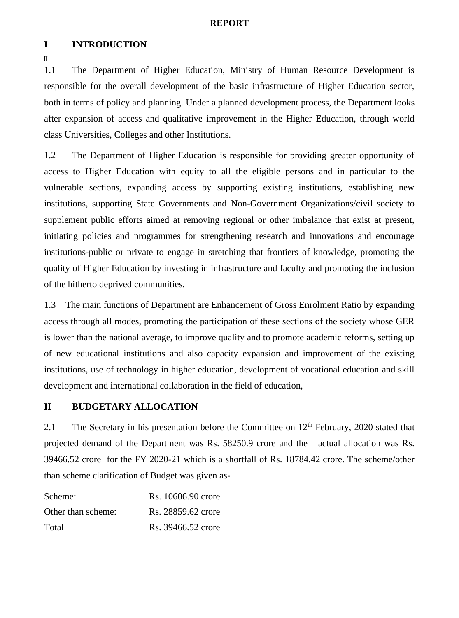#### **REPORT**

#### **I INTRODUCTION**

**[[**

1.1 The Department of Higher Education, Ministry of Human Resource Development is responsible for the overall development of the basic infrastructure of Higher Education sector, both in terms of policy and planning. Under a planned development process, the Department looks after expansion of access and qualitative improvement in the Higher Education, through world class Universities, Colleges and other Institutions.

1.2 The Department of Higher Education is responsible for providing greater opportunity of access to Higher Education with equity to all the eligible persons and in particular to the vulnerable sections, expanding access by supporting existing institutions, establishing new institutions, supporting State Governments and Non-Government Organizations/civil society to supplement public efforts aimed at removing regional or other imbalance that exist at present, initiating policies and programmes for strengthening research and innovations and encourage institutions-public or private to engage in stretching that frontiers of knowledge, promoting the quality of Higher Education by investing in infrastructure and faculty and promoting the inclusion of the hitherto deprived communities.

1.3 The main functions of Department are Enhancement of Gross Enrolment Ratio by expanding access through all modes, promoting the participation of these sections of the society whose GER is lower than the national average, to improve quality and to promote academic reforms, setting up of new educational institutions and also capacity expansion and improvement of the existing institutions, use of technology in higher education, development of vocational education and skill development and international collaboration in the field of education,

#### **II BUDGETARY ALLOCATION**

2.1 The Secretary in his presentation before the Committee on  $12<sup>th</sup>$  February, 2020 stated that projected demand of the Department was Rs. 58250.9 crore and the actual allocation was Rs. 39466.52 crore for the FY 2020-21 which is a shortfall of Rs. 18784.42 crore. The scheme/other than scheme clarification of Budget was given as-

| Scheme:            | Rs. 10606.90 crore |
|--------------------|--------------------|
| Other than scheme: | Rs. 28859.62 crore |
| Total              | Rs. 39466.52 crore |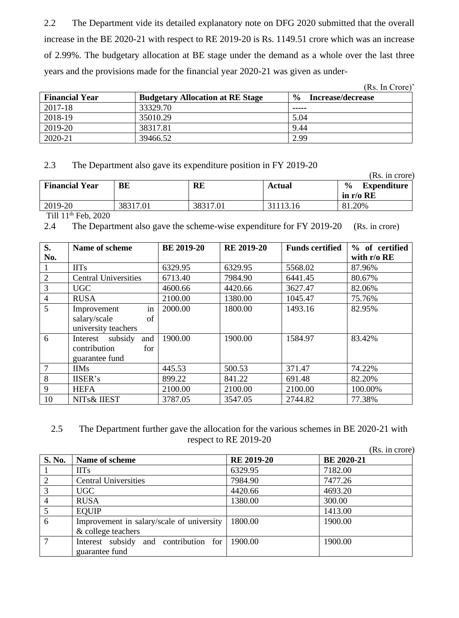2.2 The Department vide its detailed explanatory note on DFG 2020 submitted that the overall increase in the BE 2020-21 with respect to RE 2019-20 is Rs. 1149.51 crore which was an increase of 2.99%. The budgetary allocation at BE stage under the demand as a whole over the last three years and the provisions made for the financial year 2020-21 was given as under-

|                       |                                         | (Rs. In Crore)                     |
|-----------------------|-----------------------------------------|------------------------------------|
| <b>Financial Year</b> | <b>Budgetary Allocation at RE Stage</b> | $\frac{0}{0}$<br>Increase/decrease |
| 2017-18               | 33329.70                                | -----                              |
| 2018-19               | 35010.29                                | 5.04                               |
| 2019-20               | 38317.81                                | 9.44                               |
| 2020-21               | 39466.52                                | 2.99                               |

## 2.3 The Department also gave its expenditure position in FY 2019-20

|                                 |          |          |          | (Rs. in crore)                                     |
|---------------------------------|----------|----------|----------|----------------------------------------------------|
| <b>Financial Year</b>           | BE       | RE       | Actual   | $\frac{0}{0}$<br><b>Expenditure</b><br>in $r/o$ RE |
| 2019-20                         | 38317.01 | 38317.01 | 31113.16 | 81.20%                                             |
| $T''^{11}$ 1.1th $T^{-1}$ 0.000 |          |          |          |                                                    |

Till  $11<sup>th</sup>$  Feb, 2020

<sup>2.4</sup> The Department also gave the scheme-wise expenditure for FY 2019-20 (Rs. in crore)

| S.               | Name of scheme                                                      | <b>BE 2019-20</b> | <b>RE 2019-20</b> | <b>Funds certified</b> | % of certified |
|------------------|---------------------------------------------------------------------|-------------------|-------------------|------------------------|----------------|
| No.              |                                                                     |                   |                   |                        | with $r/o$ RE  |
| $\mathbf{1}$     | <b>IITs</b>                                                         | 6329.95           | 6329.95           | 5568.02                | 87.96%         |
| $\boldsymbol{2}$ | <b>Central Universities</b>                                         | 6713.40           | 7984.90           | 6441.45                | 80.67%         |
| $\overline{3}$   | <b>UGC</b>                                                          | 4600.66           | 4420.66           | 3627.47                | 82.06%         |
| $\overline{4}$   | <b>RUSA</b>                                                         | 2100.00           | 1380.00           | 1045.47                | 75.76%         |
| 5                | in<br>Improvement<br>salary/scale<br>of<br>university teachers      | 2000.00           | 1800.00           | 1493.16                | 82.95%         |
| 6                | subsidy<br>and<br>Interest<br>contribution<br>for<br>guarantee fund | 1900.00           | 1900.00           | 1584.97                | 83.42%         |
| $7\phantom{.0}$  | <b>IIMs</b>                                                         | 445.53            | 500.53            | 371.47                 | 74.22%         |
| 8                | IISER's                                                             | 899.22            | 841.22            | 691.48                 | 82.20%         |
| 9                | <b>HEFA</b>                                                         | 2100.00           | 2100.00           | 2100.00                | 100.00%        |
| 10               | NITs& IIEST                                                         | 3787.05           | 3547.05           | 2744.82                | 77.38%         |

## 2.5 The Department further gave the allocation for the various schemes in BE 2020-21 with respect to RE 2019-20

|               |                                           |                   | (Rs. in crore)    |
|---------------|-------------------------------------------|-------------------|-------------------|
| <b>S. No.</b> | Name of scheme                            | <b>RE 2019-20</b> | <b>BE 2020-21</b> |
|               | <b>IITs</b>                               | 6329.95           | 7182.00           |
| 2             | <b>Central Universities</b>               | 7984.90           | 7477.26           |
| 3             | <b>UGC</b>                                | 4420.66           | 4693.20           |
|               | <b>RUSA</b>                               | 1380.00           | 300.00            |
|               | <b>EQUIP</b>                              |                   | 1413.00           |
| 6             | Improvement in salary/scale of university | 1800.00           | 1900.00           |
|               | & college teachers                        |                   |                   |
| 7             | Interest subsidy and contribution for     | 1900.00           | 1900.00           |
|               | guarantee fund                            |                   |                   |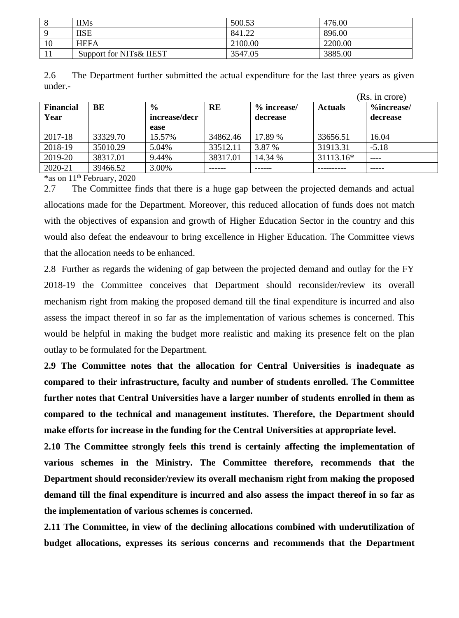|          | <b>IIMs</b>              | 500.53  | 476.00  |
|----------|--------------------------|---------|---------|
| $\Omega$ | IISE                     | 841.22  | 896.00  |
| 10       | <b>HEFA</b>              | 2100.00 | 2200.00 |
|          | Support for NITs & IIEST | 3547.05 | 3885.00 |

| 2.6     | The Department further submitted the actual expenditure for the last three years as given |  |  |  |  |
|---------|-------------------------------------------------------------------------------------------|--|--|--|--|
| under.- |                                                                                           |  |  |  |  |

|                  |          |               |           |             |                | (Rs. in crore) |
|------------------|----------|---------------|-----------|-------------|----------------|----------------|
| <b>Financial</b> | BE       | $\frac{6}{9}$ | <b>RE</b> | % increase/ | <b>Actuals</b> | %increase/     |
| Year             |          | increase/decr |           | decrease    |                | decrease       |
|                  |          | ease          |           |             |                |                |
| 2017-18          | 33329.70 | 15.57%        | 34862.46  | 17.89 %     | 33656.51       | 16.04          |
| 2018-19          | 35010.29 | 5.04%         | 33512.11  | 3.87 %      | 31913.31       | $-5.18$        |
| 2019-20          | 38317.01 | 9.44%         | 38317.01  | 14.34 %     | 31113.16*      | ----           |
| 2020-21          | 39466.52 | 3.00%         |           |             |                |                |

 $*$ as on 11<sup>th</sup> February, 2020

2.7 The Committee finds that there is a huge gap between the projected demands and actual allocations made for the Department. Moreover, this reduced allocation of funds does not match with the objectives of expansion and growth of Higher Education Sector in the country and this would also defeat the endeavour to bring excellence in Higher Education. The Committee views that the allocation needs to be enhanced.

2.8 Further as regards the widening of gap between the projected demand and outlay for the FY 2018-19 the Committee conceives that Department should reconsider/review its overall mechanism right from making the proposed demand till the final expenditure is incurred and also assess the impact thereof in so far as the implementation of various schemes is concerned. This would be helpful in making the budget more realistic and making its presence felt on the plan outlay to be formulated for the Department.

**2.9 The Committee notes that the allocation for Central Universities is inadequate as compared to their infrastructure, faculty and number of students enrolled. The Committee further notes that Central Universities have a larger number of students enrolled in them as compared to the technical and management institutes. Therefore, the Department should make efforts for increase in the funding for the Central Universities at appropriate level.**

**2.10 The Committee strongly feels this trend is certainly affecting the implementation of various schemes in the Ministry. The Committee therefore, recommends that the Department should reconsider/review its overall mechanism right from making the proposed demand till the final expenditure is incurred and also assess the impact thereof in so far as the implementation of various schemes is concerned.**

**2.11 The Committee, in view of the declining allocations combined with underutilization of budget allocations, expresses its serious concerns and recommends that the Department**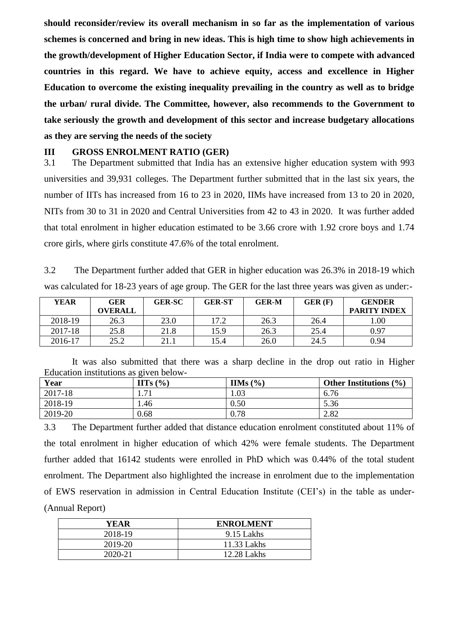**should reconsider/review its overall mechanism in so far as the implementation of various schemes is concerned and bring in new ideas. This is high time to show high achievements in the growth/development of Higher Education Sector, if India were to compete with advanced countries in this regard. We have to achieve equity, access and excellence in Higher Education to overcome the existing inequality prevailing in the country as well as to bridge the urban/ rural divide. The Committee, however, also recommends to the Government to take seriously the growth and development of this sector and increase budgetary allocations as they are serving the needs of the society**

#### **III GROSS ENROLMENT RATIO (GER)**

3.1 The Department submitted that India has an extensive higher education system with 993 universities and 39,931 colleges. The Department further submitted that in the last six years, the number of IITs has increased from 16 to 23 in 2020, IIMs have increased from 13 to 20 in 2020, NITs from 30 to 31 in 2020 and Central Universities from 42 to 43 in 2020. It was further added that total enrolment in higher education estimated to be 3.66 crore with 1.92 crore boys and 1.74 crore girls, where girls constitute 47.6% of the total enrolment.

3.2 The Department further added that GER in higher education was 26.3% in 2018-19 which was calculated for 18-23 years of age group. The GER for the last three years was given as under:-

| <b>YEAR</b> | <b>GER</b>     | <b>GER-SC</b> | <b>GER-ST</b> | <b>GER-M</b> | GER(F) | <b>GENDER</b>       |
|-------------|----------------|---------------|---------------|--------------|--------|---------------------|
|             | <b>OVERALL</b> |               |               |              |        | <b>PARITY INDEX</b> |
| 2018-19     | 26.3           | 23.0          | 17.2          | 26.3         | 26.4   | 00.                 |
| 2017-18     | 25.8           | 21.8          | 15.9          | 26.3         | 25.4   | 0.97                |
| 2016-17     | 25.2           | 21.1          | l 5.4         | 26.0         | 24.5   | 0.94                |

It was also submitted that there was a sharp decline in the drop out ratio in Higher Education institutions as given below-

| Year    | $\mathbf{H}$ s (%) | IIMs $(\% )$ | Other Institutions $(\% )$ |
|---------|--------------------|--------------|----------------------------|
| 2017-18 | 71<br>1.71         | 1.03         | 6.76                       |
| 2018-19 | 1.46               | 0.50         | 5.36                       |
| 2019-20 | 0.68               | 0.78         | 2.82                       |

3.3 The Department further added that distance education enrolment constituted about 11% of the total enrolment in higher education of which 42% were female students. The Department further added that 16142 students were enrolled in PhD which was 0.44% of the total student enrolment. The Department also highlighted the increase in enrolment due to the implementation of EWS reservation in admission in Central Education Institute (CEI's) in the table as under- (Annual Report)

| YEAR    | <b>ENROLMENT</b> |
|---------|------------------|
| 2018-19 | 9.15 Lakhs       |
| 2019-20 | 11.33 Lakhs      |
| 2020-21 | 12.28 Lakhs      |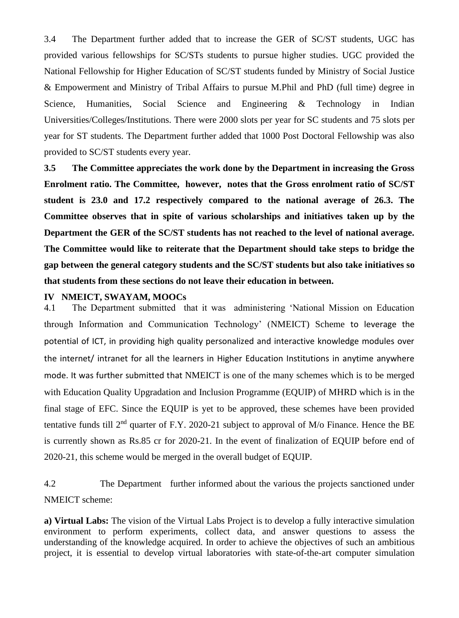3.4 The Department further added that to increase the GER of SC/ST students, UGC has provided various fellowships for SC/STs students to pursue higher studies. UGC provided the National Fellowship for Higher Education of SC/ST students funded by Ministry of Social Justice & Empowerment and Ministry of Tribal Affairs to pursue M.Phil and PhD (full time) degree in Science, Humanities, Social Science and Engineering & Technology in Indian Universities/Colleges/Institutions. There were 2000 slots per year for SC students and 75 slots per year for ST students. The Department further added that 1000 Post Doctoral Fellowship was also provided to SC/ST students every year.

**3.5 The Committee appreciates the work done by the Department in increasing the Gross Enrolment ratio. The Committee, however, notes that the Gross enrolment ratio of SC/ST student is 23.0 and 17.2 respectively compared to the national average of 26.3. The Committee observes that in spite of various scholarships and initiatives taken up by the Department the GER of the SC/ST students has not reached to the level of national average. The Committee would like to reiterate that the Department should take steps to bridge the gap between the general category students and the SC/ST students but also take initiatives so that students from these sections do not leave their education in between.** 

#### **IV NMEICT, SWAYAM, MOOCs**

4.1 The Department submitted that it was administering 'National Mission on Education through Information and Communication Technology' (NMEICT) Scheme to leverage the potential of ICT, in providing high quality personalized and interactive knowledge modules over the internet/ intranet for all the learners in Higher Education Institutions in anytime anywhere mode. It was further submitted that NMEICT is one of the many schemes which is to be merged with Education Quality Upgradation and Inclusion Programme (EQUIP) of MHRD which is in the final stage of EFC. Since the EQUIP is yet to be approved, these schemes have been provided tentative funds till  $2<sup>nd</sup>$  quarter of F.Y. 2020-21 subject to approval of M/o Finance. Hence the BE is currently shown as Rs.85 cr for 2020-21. In the event of finalization of EQUIP before end of 2020-21, this scheme would be merged in the overall budget of EQUIP.

4.2 The Department further informed about the various the projects sanctioned under NMEICT scheme:

**a) Virtual Labs:** The vision of the Virtual Labs Project is to develop a fully interactive simulation environment to perform experiments, collect data, and answer questions to assess the understanding of the knowledge acquired. In order to achieve the objectives of such an ambitious project, it is essential to develop virtual laboratories with state-of-the-art computer simulation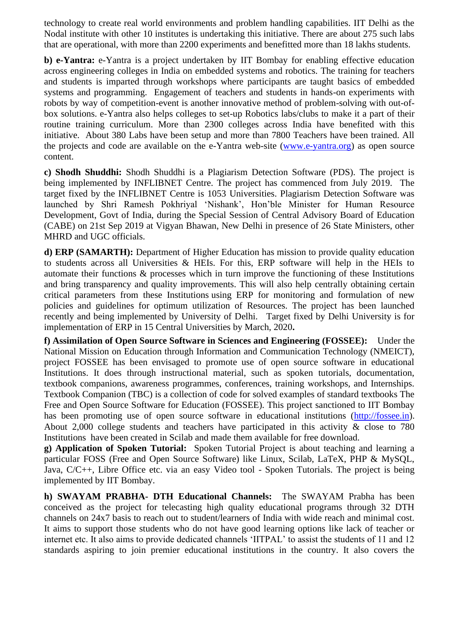technology to create real world environments and problem handling capabilities. IIT Delhi as the Nodal institute with other 10 institutes is undertaking this initiative. There are about 275 such labs that are operational, with more than 2200 experiments and benefitted more than 18 lakhs students.

**b) e-Yantra:** e-Yantra is a project undertaken by IIT Bombay for enabling effective education across engineering colleges in India on embedded systems and robotics. The training for teachers and students is imparted through workshops where participants are taught basics of embedded systems and programming. Engagement of teachers and students in hands-on experiments with robots by way of competition-event is another innovative method of problem-solving with out-ofbox solutions. e-Yantra also helps colleges to set-up Robotics labs/clubs to make it a part of their routine training curriculum. More than 2300 colleges across India have benefited with this initiative. About 380 Labs have been setup and more than 7800 Teachers have been trained. All the projects and code are available on the e-Yantra web-site [\(www.e-yantra.org\)](http://www.e-yantra.org/) as open source content.

**c) Shodh Shuddhi:** Shodh Shuddhi is a Plagiarism Detection Software (PDS). The project is being implemented by INFLIBNET Centre. The project has commenced from July 2019. The target fixed by the INFLIBNET Centre is 1053 Universities. Plagiarism Detection Software was launched by Shri Ramesh Pokhriyal 'Nishank', Hon'ble Minister for Human Resource Development, Govt of India, during the Special Session of Central Advisory Board of Education (CABE) on 21st Sep 2019 at Vigyan Bhawan, New Delhi in presence of 26 State Ministers, other MHRD and UGC officials.

**d) ERP (SAMARTH):** Department of Higher Education has mission to provide quality education to students across all Universities & HEIs. For this, ERP software will help in the HEIs to automate their functions & processes which in turn improve the functioning of these Institutions and bring transparency and quality improvements. This will also help centrally obtaining certain critical parameters from these Institutions using ERP for monitoring and formulation of new policies and guidelines for optimum utilization of Resources. The project has been launched recently and being implemented by University of Delhi. Target fixed by Delhi University is for implementation of ERP in 15 Central Universities by March, 2020**.** 

**f) Assimilation of Open Source Software in Sciences and Engineering (FOSSEE):** Under the National Mission on Education through Information and Communication Technology (NMEICT), project FOSSEE has been envisaged to promote use of open source software in educational Institutions. It does through instructional material, such as spoken tutorials, documentation, textbook companions, awareness programmes, conferences, training workshops, and Internships. Textbook Companion (TBC) is a collection of code for solved examples of standard textbooks The Free and Open Source Software for Education (FOSSEE). This project sanctioned to IIT Bombay has been promoting use of open source software in educational institutions [\(http://fossee.in\)](http://fossee.in/). About 2,000 college students and teachers have participated in this activity & close to 780 Institutions have been created in Scilab and made them available for free download.

**g) Application of Spoken Tutorial:** Spoken Tutorial Project is about teaching and learning a particular FOSS (Free and Open Source Software) like Linux, Scilab, LaTeX, PHP & MySQL, Java, C/C++, Libre Office etc. via an easy Video tool - Spoken Tutorials. The project is being implemented by IIT Bombay.

**h) SWAYAM PRABHA- DTH Educational Channels:** The SWAYAM Prabha has been conceived as the project for telecasting high quality educational programs through 32 DTH channels on 24x7 basis to reach out to student/learners of India with wide reach and minimal cost. It aims to support those students who do not have good learning options like lack of teacher or internet etc. It also aims to provide dedicated channels 'IITPAL' to assist the students of 11 and 12 standards aspiring to join premier educational institutions in the country. It also covers the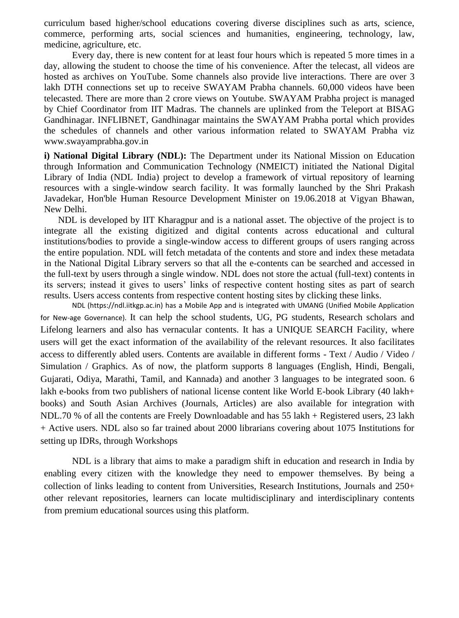curriculum based higher/school educations covering diverse disciplines such as arts, science, commerce, performing arts, social sciences and humanities, engineering, technology, law, medicine, agriculture, etc.

Every day, there is new content for at least four hours which is repeated 5 more times in a day, allowing the student to choose the time of his convenience. After the telecast, all videos are hosted as archives on YouTube. Some channels also provide live interactions. There are over 3 lakh DTH connections set up to receive SWAYAM Prabha channels. 60,000 videos have been telecasted. There are more than 2 crore views on Youtube. SWAYAM Prabha project is managed by Chief Coordinator from IIT Madras. The channels are uplinked from the Teleport at BISAG Gandhinagar. INFLIBNET, Gandhinagar maintains the SWAYAM Prabha portal which provides the schedules of channels and other various information related to SWAYAM Prabha viz www.swayamprabha.gov.in

**i) National Digital Library (NDL):** The Department under its National Mission on Education through Information and Communication Technology (NMEICT) initiated the National Digital Library of India (NDL India) project to develop a framework of virtual repository of learning resources with a single-window search facility. It was formally launched by the Shri Prakash Javadekar, Hon'ble Human Resource Development Minister on 19.06.2018 at Vigyan Bhawan, New Delhi.

NDL is developed by IIT Kharagpur and is a national asset. The objective of the project is to integrate all the existing digitized and digital contents across educational and cultural institutions/bodies to provide a single-window access to different groups of users ranging across the entire population. NDL will fetch metadata of the contents and store and index these metadata in the National Digital Library servers so that all the e-contents can be searched and accessed in the full-text by users through a single window. NDL does not store the actual (full-text) contents in its servers; instead it gives to users' links of respective content hosting sites as part of search results. Users access contents from respective content hosting sites by clicking these links.

NDL (https://ndl.iitkgp.ac.in) has a Mobile App and is integrated with UMANG (Unified Mobile Application for New-age Governance). It can help the school students, UG, PG students, Research scholars and Lifelong learners and also has vernacular contents. It has a UNIQUE SEARCH Facility, where users will get the exact information of the availability of the relevant resources. It also facilitates access to differently abled users. Contents are available in different forms - Text / Audio / Video / Simulation / Graphics. As of now, the platform supports 8 languages (English, Hindi, Bengali, Gujarati, Odiya, Marathi, Tamil, and Kannada) and another 3 languages to be integrated soon. 6 lakh e-books from two publishers of national license content like World E-book Library (40 lakh+ books) and South Asian Archives (Journals, Articles) are also available for integration with NDL.70 % of all the contents are Freely Downloadable and has 55 lakh + Registered users, 23 lakh + Active users. NDL also so far trained about 2000 librarians covering about 1075 Institutions for setting up IDRs, through Workshops

NDL is a library that aims to make a paradigm shift in education and research in India by enabling every citizen with the knowledge they need to empower themselves. By being a collection of links leading to content from Universities, Research Institutions, Journals and 250+ other relevant repositories, learners can locate multidisciplinary and interdisciplinary contents from premium educational sources using this platform.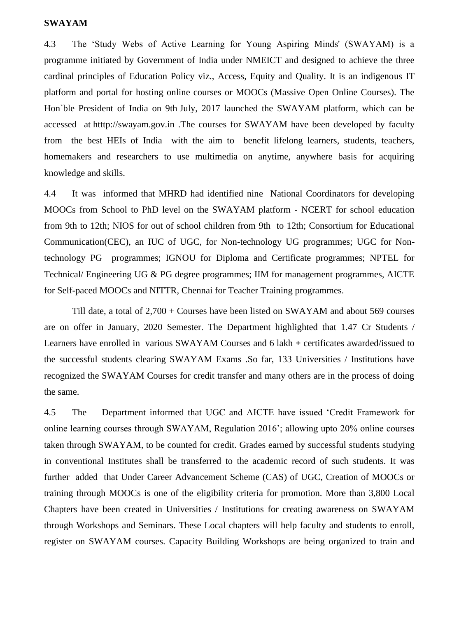#### **SWAYAM**

4.3 The 'Study Webs of Active Learning for Young Aspiring Minds' (SWAYAM) is a programme initiated by Government of India under NMEICT and designed to achieve the three cardinal principles of Education Policy viz., Access, Equity and Quality. It is an indigenous IT platform and portal for hosting online courses or MOOCs (Massive Open Online Courses). The Hon`ble President of India on 9th July, 2017 launched the SWAYAM platform, which can be accessed at htttp://swayam.gov.in .The courses for SWAYAM have been developed by faculty from the best HEIs of India with the aim to benefit lifelong learners, students, teachers, homemakers and researchers to use multimedia on anytime, anywhere basis for acquiring knowledge and skills.

4.4 It was informed that MHRD had identified nine National Coordinators for developing MOOCs from School to PhD level on the SWAYAM platform - NCERT for school education from 9th to 12th; NIOS for out of school children from 9th to 12th; Consortium for Educational Communication(CEC), an IUC of UGC, for Non-technology UG programmes; UGC for Nontechnology PG programmes; IGNOU for Diploma and Certificate programmes; NPTEL for Technical/ Engineering UG & PG degree programmes; IIM for management programmes, AICTE for Self-paced MOOCs and NITTR, Chennai for Teacher Training programmes.

Till date, a total of 2,700 + Courses have been listed on SWAYAM and about 569 courses are on offer in January, 2020 Semester. The Department highlighted that 1.47 Cr Students / Learners have enrolled in various SWAYAM Courses and 6 lakh **+** certificates awarded/issued to the successful students clearing SWAYAM Exams .So far, 133 Universities / Institutions have recognized the SWAYAM Courses for credit transfer and many others are in the process of doing the same.

4.5 The Department informed that UGC and AICTE have issued 'Credit Framework for online learning courses through SWAYAM, Regulation 2016'; allowing upto 20% online courses taken through SWAYAM, to be counted for credit. Grades earned by successful students studying in conventional Institutes shall be transferred to the academic record of such students. It was further added that Under Career Advancement Scheme (CAS) of UGC, Creation of MOOCs or training through MOOCs is one of the eligibility criteria for promotion. More than 3,800 Local Chapters have been created in Universities / Institutions for creating awareness on SWAYAM through Workshops and Seminars. These Local chapters will help faculty and students to enroll, register on SWAYAM courses. Capacity Building Workshops are being organized to train and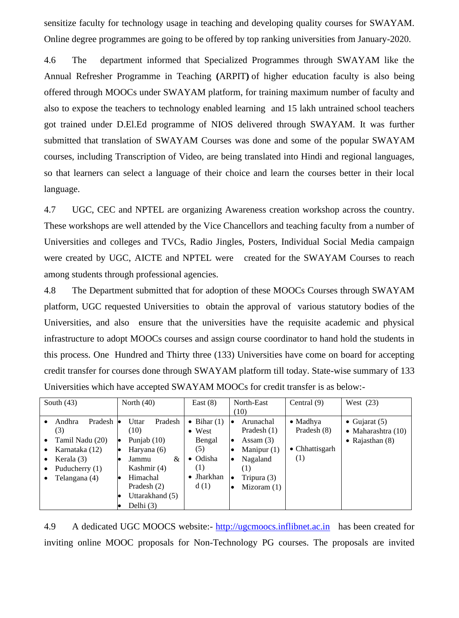sensitize faculty for technology usage in teaching and developing quality courses for SWAYAM. Online degree programmes are going to be offered by top ranking universities from January-2020.

4.6 The department informed that Specialized Programmes through SWAYAM like the Annual Refresher Programme in Teaching **(**ARPIT**)** of higher education faculty is also being offered through MOOCs under SWAYAM platform, for training maximum number of faculty and also to expose the teachers to technology enabled learning and 15 lakh untrained school teachers got trained under D.El.Ed programme of NIOS delivered through SWAYAM. It was further submitted that translation of SWAYAM Courses was done and some of the popular SWAYAM courses, including Transcription of Video, are being translated into Hindi and regional languages, so that learners can select a language of their choice and learn the courses better in their local language.

4.7 UGC, CEC and NPTEL are organizing Awareness creation workshop across the country. These workshops are well attended by the Vice Chancellors and teaching faculty from a number of Universities and colleges and TVCs, Radio Jingles, Posters, Individual Social Media campaign were created by UGC, AICTE and NPTEL were created for the SWAYAM Courses to reach among students through professional agencies.

4.8 The Department submitted that for adoption of these MOOCs Courses through SWAYAM platform, UGC requested Universities to obtain the approval of various statutory bodies of the Universities, and also ensure that the universities have the requisite academic and physical infrastructure to adopt MOOCs courses and assign course coordinator to hand hold the students in this process. One Hundred and Thirty three (133) Universities have come on board for accepting credit transfer for courses done through SWAYAM platform till today. State-wise summary of 133 Universities which have accepted SWAYAM MOOCs for credit transfer is as below:-

| South $(43)$        | North $(40)$               | East $(8)$          | North-East                 | Central $(9)$          | West $(23)$                |
|---------------------|----------------------------|---------------------|----------------------------|------------------------|----------------------------|
|                     |                            |                     | (10)                       |                        |                            |
| Pradesh<br>Andhra   | Pradesh<br>Uttar<br>le     | $\bullet$ Bihar (1) | Arunachal<br>$\bullet$     | $\bullet$ Madhya       | • Gujarat $(5)$            |
| (3)                 | (10)                       | $\bullet$ West      | Pradesh $(1)$              | Pradesh (8)            | $\bullet$ Maharashtra (10) |
| Tamil Nadu (20)     | Punjab $(10)$<br>$\bullet$ | Bengal              | Assam $(3)$<br>٠           |                        | • Rajasthan $(8)$          |
| Karnataka (12)<br>٠ | Haryana (6)                | (5)                 | Manipur $(1)$<br>. .       | $\bullet$ Chhattisgarh |                            |
| Kerala (3)<br>٠     | &<br>Jammu                 | $\bullet$ Odisha    | Nagaland<br>$\bullet$      | $\left(1\right)$       |                            |
| Puducherry (1)      | Kashmir (4)                | (1)                 | (1)                        |                        |                            |
| Telangana (4)       | Himachal                   | $\bullet$ Jharkhan  | Tripura $(3)$              |                        |                            |
|                     | Pradesh (2)                | d(1)                | Mizoram $(1)$<br>$\bullet$ |                        |                            |
|                     | Uttarakhand (5)            |                     |                            |                        |                            |
|                     | Delhi $(3)$                |                     |                            |                        |                            |

4.9 A dedicated UGC MOOCS website:- [http://ugcmoocs.inflibnet.ac.in](http://ugcmoocs.inflibnet.ac.in/) has been created for inviting online MOOC proposals for Non-Technology PG courses. The proposals are invited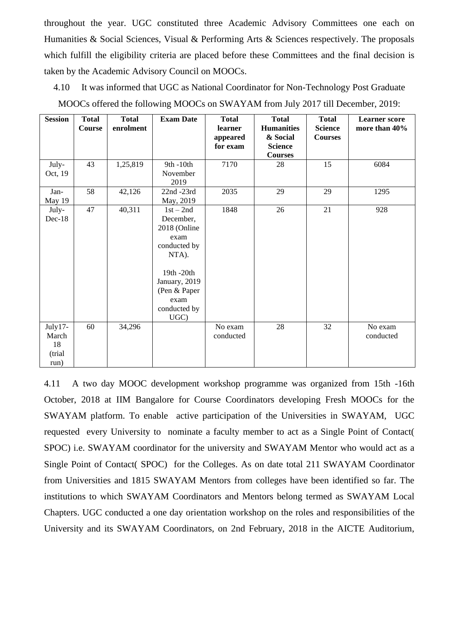throughout the year. UGC constituted three Academic Advisory Committees one each on Humanities & Social Sciences, Visual & Performing Arts & Sciences respectively. The proposals which fulfill the eligibility criteria are placed before these Committees and the final decision is taken by the Academic Advisory Council on MOOCs.

| <b>Session</b>                           | <b>Total</b><br>Course | <b>Total</b><br>enrolment | <b>Exam Date</b>                                                                                                                                         | <b>Total</b><br>learner<br>appeared<br>for exam | <b>Total</b><br><b>Humanities</b><br>& Social<br><b>Science</b><br><b>Courses</b> | <b>Total</b><br><b>Science</b><br><b>Courses</b> | <b>Learner</b> score<br>more than 40% |
|------------------------------------------|------------------------|---------------------------|----------------------------------------------------------------------------------------------------------------------------------------------------------|-------------------------------------------------|-----------------------------------------------------------------------------------|--------------------------------------------------|---------------------------------------|
| July-<br>Oct, 19                         | 43                     | 1,25,819                  | 9th -10th<br>November<br>2019                                                                                                                            | 7170                                            | 28                                                                                | 15                                               | 6084                                  |
| Jan-<br>May 19                           | 58                     | 42,126                    | 22nd -23rd<br>May, 2019                                                                                                                                  | 2035                                            | 29                                                                                | 29                                               | 1295                                  |
| July-<br>$Dec-18$                        | 47                     | 40,311                    | $1st - 2nd$<br>December,<br>2018 (Online<br>exam<br>conducted by<br>NTA).<br>19th -20th<br>January, 2019<br>(Pen & Paper<br>exam<br>conducted by<br>UGC) | 1848                                            | 26                                                                                | 21                                               | 928                                   |
| July17-<br>March<br>18<br>(trial<br>run) | 60                     | 34,296                    |                                                                                                                                                          | No exam<br>conducted                            | 28                                                                                | 32                                               | No exam<br>conducted                  |

4.10 It was informed that UGC as National Coordinator for Non-Technology Post Graduate MOOCs offered the following MOOCs on SWAYAM from July 2017 till December, 2019:

4.11 A two day MOOC development workshop programme was organized from 15th -16th October, 2018 at IIM Bangalore for Course Coordinators developing Fresh MOOCs for the SWAYAM platform. To enable active participation of the Universities in SWAYAM, UGC requested every University to nominate a faculty member to act as a Single Point of Contact( SPOC) i.e. SWAYAM coordinator for the university and SWAYAM Mentor who would act as a Single Point of Contact( SPOC) for the Colleges. As on date total 211 SWAYAM Coordinator from Universities and 1815 SWAYAM Mentors from colleges have been identified so far. The institutions to which SWAYAM Coordinators and Mentors belong termed as SWAYAM Local Chapters. UGC conducted a one day orientation workshop on the roles and responsibilities of the University and its SWAYAM Coordinators, on 2nd February, 2018 in the AICTE Auditorium,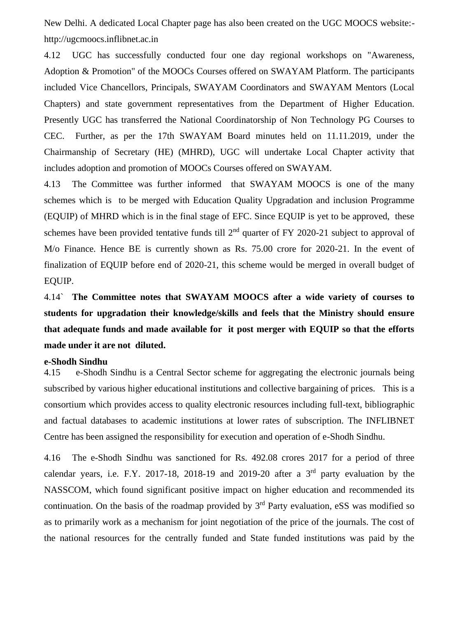New Delhi. A dedicated Local Chapter page has also been created on the UGC MOOCS website: http://ugcmoocs.inflibnet.ac.in

4.12 UGC has successfully conducted four one day regional workshops on "Awareness, Adoption & Promotion" of the MOOCs Courses offered on SWAYAM Platform. The participants included Vice Chancellors, Principals, SWAYAM Coordinators and SWAYAM Mentors (Local Chapters) and state government representatives from the Department of Higher Education. Presently UGC has transferred the National Coordinatorship of Non Technology PG Courses to CEC. Further, as per the 17th SWAYAM Board minutes held on 11.11.2019, under the Chairmanship of Secretary (HE) (MHRD), UGC will undertake Local Chapter activity that includes adoption and promotion of MOOCs Courses offered on SWAYAM.

4.13 The Committee was further informed that SWAYAM MOOCS is one of the many schemes which is to be merged with Education Quality Upgradation and inclusion Programme (EQUIP) of MHRD which is in the final stage of EFC. Since EQUIP is yet to be approved, these schemes have been provided tentative funds till 2<sup>nd</sup> quarter of FY 2020-21 subject to approval of M/o Finance. Hence BE is currently shown as Rs. 75.00 crore for 2020-21. In the event of finalization of EQUIP before end of 2020-21, this scheme would be merged in overall budget of EQUIP.

4.14` **The Committee notes that SWAYAM MOOCS after a wide variety of courses to students for upgradation their knowledge/skills and feels that the Ministry should ensure that adequate funds and made available for it post merger with EQUIP so that the efforts made under it are not diluted.** 

#### **e-Shodh Sindhu**

4.15e-Shodh Sindhu is a Central Sector scheme for aggregating the electronic journals being subscribed by various higher educational institutions and collective bargaining of prices. This is a consortium which provides access to quality electronic resources including full-text, bibliographic and factual databases to academic institutions at lower rates of subscription. The INFLIBNET Centre has been assigned the responsibility for execution and operation of e-Shodh Sindhu.

4.16 The e-Shodh Sindhu was sanctioned for Rs. 492.08 crores 2017 for a period of three calendar years, i.e. F.Y. 2017-18, 2018-19 and 2019-20 after a  $3<sup>rd</sup>$  party evaluation by the NASSCOM, which found significant positive impact on higher education and recommended its continuation. On the basis of the roadmap provided by  $3<sup>rd</sup>$  Party evaluation, eSS was modified so as to primarily work as a mechanism for joint negotiation of the price of the journals. The cost of the national resources for the centrally funded and State funded institutions was paid by the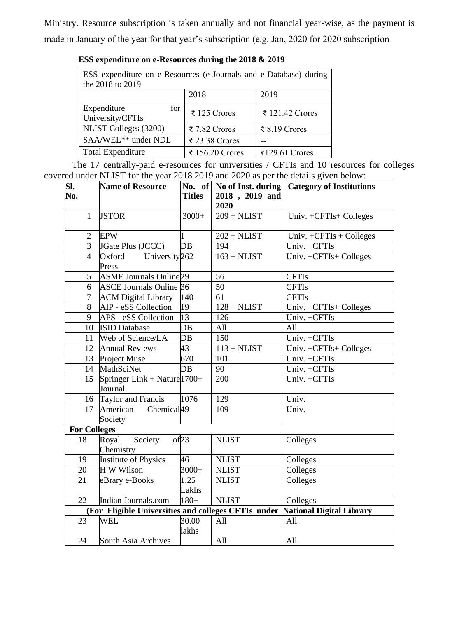Ministry. Resource subscription is taken annually and not financial year-wise, as the payment is made in January of the year for that year's subscription (e.g. Jan, 2020 for 2020 subscription

| ESS expenditure on e-Resources during the 2018 & 2019 |  |  |
|-------------------------------------------------------|--|--|
|-------------------------------------------------------|--|--|

| ESS expenditure on e-Resources (e-Journals and e-Database) during<br>the 2018 to 2019 |                 |                 |  |  |  |
|---------------------------------------------------------------------------------------|-----------------|-----------------|--|--|--|
| 2018<br>2019                                                                          |                 |                 |  |  |  |
| Expenditure<br>for<br>University/CFTIs                                                | ₹ 125 Crores    | ₹ 121.42 Crores |  |  |  |
| NLIST Colleges (3200)                                                                 | ₹ 7.82 Crores   | ₹ 8.19 Crores   |  |  |  |
| SAA/WEL** under NDL                                                                   | ₹ 23.38 Crores  |                 |  |  |  |
| <b>Total Expenditure</b>                                                              | ₹ 156.20 Crores | ₹129.61 Crores  |  |  |  |

The 17 centrally-paid e-resources for universities / CFTIs and 10 resources for colleges covered under NLIST for the year 2018 2019 and 2020 as per the details given below:

| $\overline{\text{SL}}$ | <b>Name of Resource</b>                       |                | No. of No of Inst. during | <b>Category of Institutions</b>                                              |
|------------------------|-----------------------------------------------|----------------|---------------------------|------------------------------------------------------------------------------|
| No.                    |                                               | <b>Titles</b>  | 2018, 2019 and            |                                                                              |
|                        |                                               |                | 2020                      |                                                                              |
| $\mathbf{1}$           | <b>JSTOR</b>                                  | $3000+$        | $209 + \text{NLIST}$      | Univ. +CFTIs+ Colleges                                                       |
| 2                      | <b>EPW</b>                                    |                | $202 + NLIST$             | Univ. $+CFTIs + Colleges$                                                    |
| 3                      | JGate Plus (JCCC)                             | DB             | 194                       | Univ. +CFTIs                                                                 |
| $\overline{4}$         | University <sub>262</sub><br>Oxford<br>Press  |                | $163 + \text{NLIST}$      | Univ. +CFTIs+ Colleges                                                       |
| 5                      | <b>ASME Journals Online</b> 29                |                | 56                        | <b>CFTIs</b>                                                                 |
| 6                      | <b>ASCE Journals Online 36</b>                |                | $\overline{50}$           | <b>CFTIs</b>                                                                 |
| $\overline{7}$         | <b>ACM Digital Library</b>                    | 140            | 61                        | <b>CFTIs</b>                                                                 |
| 8                      | AIP - eSS Collection                          | 19             | $128 + NLIST$             | Univ. +CFTIs+ Colleges                                                       |
| 9                      | APS - eSS Collection                          | 13             | 126                       | Univ. +CFTIs                                                                 |
| 10                     | <b>ISID Database</b>                          | $DB$           | All                       | All                                                                          |
| 11                     | Web of Science/LA                             | $DB$           | 150                       | Univ. +CFTIs                                                                 |
|                        | 12 Annual Reviews                             | 43             | $113 + NLIST$             | Univ. +CFTIs+ Colleges                                                       |
|                        | 13 Project Muse                               | 670            | 101                       | Univ. +CFTIs                                                                 |
|                        | 14 MathSciNet                                 | $DB$           | 90                        | Univ. +CFTIs                                                                 |
| 15                     | Springer Link + Nature 1700+<br>Journal       |                | 200                       | Univ. +CFTIs                                                                 |
|                        | 16 Taylor and Francis                         | 1076           | 129                       | Univ.                                                                        |
| 17                     | Chemical <sub>49</sub><br>American<br>Society |                | 109                       | Univ.                                                                        |
| <b>For Colleges</b>    |                                               |                |                           |                                                                              |
| 18                     | Royal<br>Society<br>Chemistry                 | of 23          | <b>NLIST</b>              | Colleges                                                                     |
| 19                     | <b>Institute of Physics</b>                   | 46             | <b>NLIST</b>              | Colleges                                                                     |
| 20                     | H W Wilson                                    | $3000+$        | <b>NLIST</b>              | Colleges                                                                     |
| 21                     | eBrary e-Books                                | 1.25           | <b>NLIST</b>              | Colleges                                                                     |
|                        |                                               | Lakhs          |                           |                                                                              |
| 22                     | Indian Journals.com                           | $180+$         | <b>NLIST</b>              | Colleges                                                                     |
|                        |                                               |                |                           | (For Eligible Universities and colleges CFTIs under National Digital Library |
| 23                     | WEL                                           | 30.00<br>lakhs | All                       | All                                                                          |
| 24                     | South Asia Archives                           |                | All                       | All                                                                          |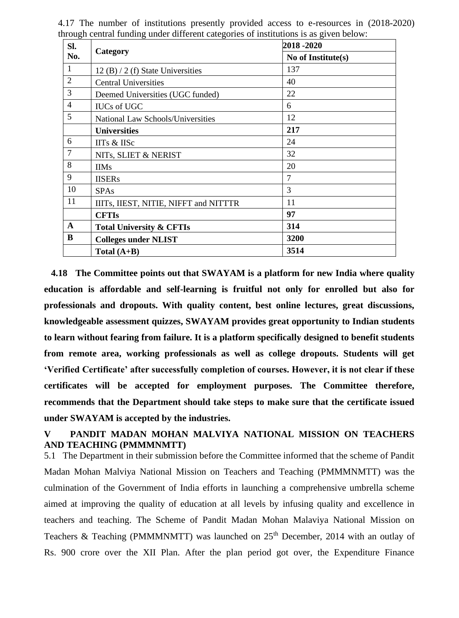| SI.            |                                          | 2018 -2020         |
|----------------|------------------------------------------|--------------------|
| No.            | Category                                 | No of Institute(s) |
| 1              | 12 (B) $/$ 2 (f) State Universities      | 137                |
| $\overline{2}$ | <b>Central Universities</b>              | 40                 |
| 3              | Deemed Universities (UGC funded)         | 22                 |
| $\overline{4}$ | <b>IUCs of UGC</b>                       | 6                  |
| 5              | <b>National Law Schools/Universities</b> | 12                 |
|                | <b>Universities</b>                      | 217                |
| 6              | IITs & IISc                              | 24                 |
| 7              | NITS, SLIET & NERIST                     | 32                 |
| 8              | <b>IIMs</b>                              | 20                 |
| 9              | <b>IISERs</b>                            | $\overline{7}$     |
| 10             | <b>SPAs</b>                              | 3                  |
| 11             | IIITs, IIEST, NITIE, NIFFT and NITTTR    | 11                 |
|                | <b>CFTIs</b>                             | 97                 |
| $\mathbf{A}$   | <b>Total University &amp; CFTIs</b>      | 314                |
| B              | <b>Colleges under NLIST</b>              | 3200               |
|                | Total $(A+B)$                            | 3514               |

4.17 The number of institutions presently provided access to e-resources in (2018-2020) through central funding under different categories of institutions is as given below:

 **4.18 The Committee points out that SWAYAM is a platform for new India where quality education is affordable and self-learning is fruitful not only for enrolled but also for professionals and dropouts. With quality content, best online lectures, great discussions, knowledgeable assessment quizzes, SWAYAM provides great opportunity to Indian students to learn without fearing from failure. It is a platform specifically designed to benefit students from remote area, working professionals as well as college dropouts. Students will get 'Verified Certificate' after successfully completion of courses. However, it is not clear if these certificates will be accepted for employment purposes. The Committee therefore, recommends that the Department should take steps to make sure that the certificate issued under SWAYAM is accepted by the industries.**

## **V PANDIT MADAN MOHAN MALVIYA NATIONAL MISSION ON TEACHERS AND TEACHING (PMMMNMTT)**

5.1 The Department in their submission before the Committee informed that the scheme of Pandit Madan Mohan Malviya National Mission on Teachers and Teaching (PMMMNMTT) was the culmination of the Government of India efforts in launching a comprehensive umbrella scheme aimed at improving the quality of education at all levels by infusing quality and excellence in teachers and teaching. The Scheme of Pandit Madan Mohan Malaviya National Mission on Teachers & Teaching (PMMMNMTT) was launched on  $25<sup>th</sup>$  December, 2014 with an outlay of Rs. 900 crore over the XII Plan. After the plan period got over, the Expenditure Finance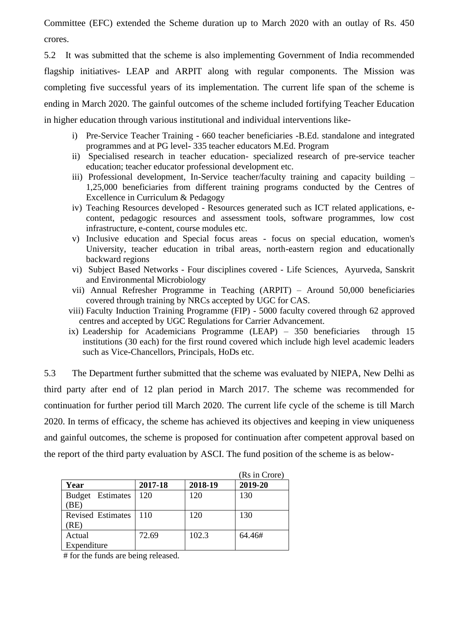Committee (EFC) extended the Scheme duration up to March 2020 with an outlay of Rs. 450 crores.

5.2 It was submitted that the scheme is also implementing Government of India recommended flagship initiatives- LEAP and ARPIT along with regular components. The Mission was completing five successful years of its implementation. The current life span of the scheme is ending in March 2020. The gainful outcomes of the scheme included fortifying Teacher Education in higher education through various institutional and individual interventions like-

- i) Pre-Service Teacher Training 660 teacher beneficiaries -B.Ed. standalone and integrated programmes and at PG level- 335 teacher educators M.Ed. Program
- ii) Specialised research in teacher education- specialized research of pre-service teacher education; teacher educator professional development etc.
- iii) Professional development, In-Service teacher/faculty training and capacity building 1,25,000 beneficiaries from different training programs conducted by the Centres of Excellence in Curriculum & Pedagogy
- iv) Teaching Resources developed Resources generated such as ICT related applications, econtent, pedagogic resources and assessment tools, software programmes, low cost infrastructure, e-content, course modules etc.
- v) Inclusive education and Special focus areas focus on special education, women's University, teacher education in tribal areas, north-eastern region and educationally backward regions
- vi) Subject Based Networks Four disciplines covered Life Sciences, Ayurveda, Sanskrit and Environmental Microbiology
- vii) Annual Refresher Programme in Teaching (ARPIT) Around 50,000 beneficiaries covered through training by NRCs accepted by UGC for CAS.
- viii) Faculty Induction Training Programme (FIP) 5000 faculty covered through 62 approved centres and accepted by UGC Regulations for Carrier Advancement.
- ix) Leadership for Academicians Programme (LEAP) 350 beneficiaries through 15 institutions (30 each) for the first round covered which include high level academic leaders such as Vice-Chancellors, Principals, HoDs etc.

5.3 The Department further submitted that the scheme was evaluated by NIEPA, New Delhi as third party after end of 12 plan period in March 2017. The scheme was recommended for continuation for further period till March 2020. The current life cycle of the scheme is till March 2020. In terms of efficacy, the scheme has achieved its objectives and keeping in view uniqueness and gainful outcomes, the scheme is proposed for continuation after competent approval based on the report of the third party evaluation by ASCI. The fund position of the scheme is as below-

|                                  |         |         | (Rs in Crore) |
|----------------------------------|---------|---------|---------------|
| Year                             | 2017-18 | 2018-19 | 2019-20       |
| <b>Budget</b> Estimates<br>(BE)  | 120     | 120     | 130           |
| <b>Revised Estimates</b><br>(RE) | 110     | 120     | 130           |
| Actual<br>Expenditure            | 72.69   | 102.3   | 64.46#        |

# for the funds are being released.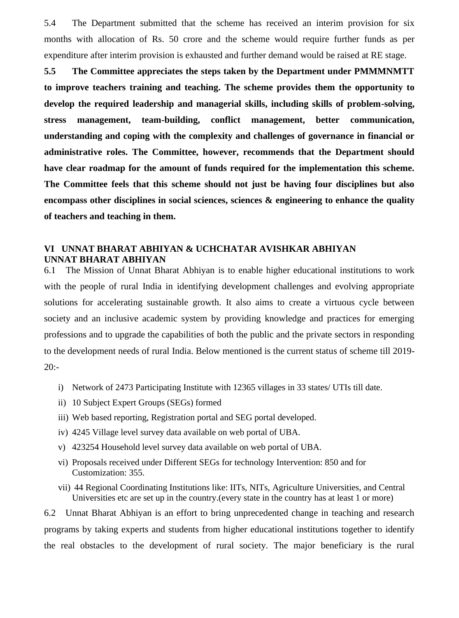5.4 The Department submitted that the scheme has received an interim provision for six months with allocation of Rs. 50 crore and the scheme would require further funds as per expenditure after interim provision is exhausted and further demand would be raised at RE stage.

**5.5 The Committee appreciates the steps taken by the Department under PMMMNMTT to improve teachers training and teaching. The scheme provides them the opportunity to develop the required leadership and managerial skills, including skills of problem-solving, stress management, team-building, conflict management, better communication, understanding and coping with the complexity and challenges of governance in financial or administrative roles. The Committee, however, recommends that the Department should have clear roadmap for the amount of funds required for the implementation this scheme. The Committee feels that this scheme should not just be having four disciplines but also encompass other disciplines in social sciences, sciences & engineering to enhance the quality of teachers and teaching in them.** 

#### **VI UNNAT BHARAT ABHIYAN & UCHCHATAR AVISHKAR ABHIYAN UNNAT BHARAT ABHIYAN**

6.1 The Mission of Unnat Bharat Abhiyan is to enable higher educational institutions to work with the people of rural India in identifying development challenges and evolving appropriate solutions for accelerating sustainable growth. It also aims to create a virtuous cycle between society and an inclusive academic system by providing knowledge and practices for emerging professions and to upgrade the capabilities of both the public and the private sectors in responding to the development needs of rural India. Below mentioned is the current status of scheme till 2019-  $20: -$ 

- i) Network of 2473 Participating Institute with 12365 villages in 33 states/ UTIs till date.
- ii) 10 Subject Expert Groups (SEGs) formed
- iii) Web based reporting, Registration portal and SEG portal developed.
- iv) 4245 Village level survey data available on web portal of UBA.
- v) 423254 Household level survey data available on web portal of UBA.
- vi) Proposals received under Different SEGs for technology Intervention: 850 and for Customization: 355.
- vii) 44 Regional Coordinating Institutions like: IITs, NITs, Agriculture Universities, and Central Universities etc are set up in the country.(every state in the country has at least 1 or more)

6.2 Unnat Bharat Abhiyan is an effort to bring unprecedented change in teaching and research programs by taking experts and students from higher educational institutions together to identify the real obstacles to the development of rural society. The major beneficiary is the rural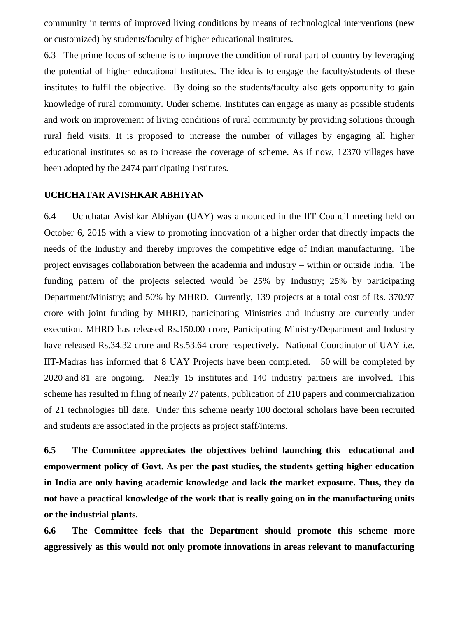community in terms of improved living conditions by means of technological interventions (new or customized) by students/faculty of higher educational Institutes.

6.3 The prime focus of scheme is to improve the condition of rural part of country by leveraging the potential of higher educational Institutes. The idea is to engage the faculty/students of these institutes to fulfil the objective. By doing so the students/faculty also gets opportunity to gain knowledge of rural community. Under scheme, Institutes can engage as many as possible students and work on improvement of living conditions of rural community by providing solutions through rural field visits. It is proposed to increase the number of villages by engaging all higher educational institutes so as to increase the coverage of scheme. As if now, 12370 villages have been adopted by the 2474 participating Institutes.

#### **UCHCHATAR AVISHKAR ABHIYAN**

6.4 Uchchatar Avishkar Abhiyan **(**UAY) was announced in the IIT Council meeting held on October 6, 2015 with a view to promoting innovation of a higher order that directly impacts the needs of the Industry and thereby improves the competitive edge of Indian manufacturing. The project envisages collaboration between the academia and industry – within or outside India. The funding pattern of the projects selected would be 25% by Industry; 25% by participating Department/Ministry; and 50% by MHRD. Currently, 139 projects at a total cost of Rs. 370.97 crore with joint funding by MHRD, participating Ministries and Industry are currently under execution. MHRD has released Rs.150.00 crore, Participating Ministry/Department and Industry have released Rs.34.32 crore and Rs.53.64 crore respectively. National Coordinator of UAY *i.e*. IIT-Madras has informed that 8 UAY Projects have been completed. 50 will be completed by 2020 and 81 are ongoing. Nearly 15 institutes and 140 industry partners are involved. This scheme has resulted in filing of nearly 27 patents, publication of 210 papers and commercialization of 21 technologies till date. Under this scheme nearly 100 doctoral scholars have been recruited and students are associated in the projects as project staff/interns.

**6.5 The Committee appreciates the objectives behind launching this educational and empowerment policy of Govt. As per the past studies, the students getting higher education in India are only having academic knowledge and lack the market exposure. Thus, they do not have a practical knowledge of the work that is really going on in the manufacturing units or the industrial plants.** 

**6.6 The Committee feels that the Department should promote this scheme more aggressively as this would not only promote innovations in areas relevant to manufacturing**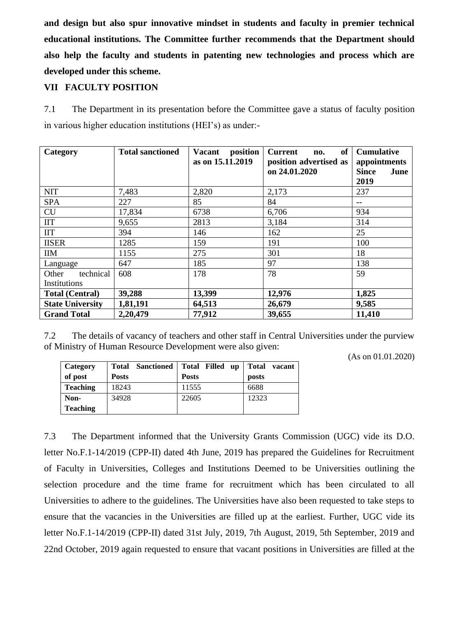**and design but also spur innovative mindset in students and faculty in premier technical educational institutions. The Committee further recommends that the Department should also help the faculty and students in patenting new technologies and process which are developed under this scheme.**

## **VII FACULTY POSITION**

7.1 The Department in its presentation before the Committee gave a status of faculty position in various higher education institutions (HEI's) as under:-

| Category                | <b>Total sanctioned</b> | position<br><b>Vacant</b><br>as on 15.11.2019 | of<br><b>Current</b><br>no.<br>position advertised as | <b>Cumulative</b><br>appointments |
|-------------------------|-------------------------|-----------------------------------------------|-------------------------------------------------------|-----------------------------------|
|                         |                         |                                               | on 24.01.2020                                         | <b>Since</b><br>June<br>2019      |
| <b>NIT</b>              | 7,483                   | 2,820                                         | 2,173                                                 | 237                               |
| <b>SPA</b>              | 227                     | 85                                            | 84                                                    | $-$                               |
| CU                      | 17,834                  | 6738                                          | 6,706                                                 | 934                               |
| $\Pi$                   | 9,655                   | 2813                                          | 3,184                                                 | 314                               |
| <b>IIT</b>              | 394                     | 146                                           | 162                                                   | 25                                |
| <b>IISER</b>            | 1285                    | 159                                           | 191                                                   | 100                               |
| <b>IIM</b>              | 1155                    | 275                                           | 301                                                   | 18                                |
| Language                | 647                     | 185                                           | 97                                                    | 138                               |
| technical<br>Other      | 608                     | 178                                           | 78                                                    | 59                                |
| Institutions            |                         |                                               |                                                       |                                   |
| <b>Total (Central)</b>  | 39,288                  | 13,399                                        | 12,976                                                | 1,825                             |
| <b>State University</b> | 1,81,191                | 64,513                                        | 26,679                                                | 9,585                             |
| <b>Grand Total</b>      | 2,20,479                | 77,912                                        | 39,655                                                | 11,410                            |

7.2 The details of vacancy of teachers and other staff in Central Universities under the purview of Ministry of Human Resource Development were also given:

(As on 01.01.2020)

| Category        | <b>Total Sanctioned</b> | Total Filled up | <b>Total</b><br>vacant |
|-----------------|-------------------------|-----------------|------------------------|
| of post         | <b>Posts</b>            | <b>Posts</b>    | posts                  |
| <b>Teaching</b> | 18243                   | 11555           | 6688                   |
| Non-            | 34928                   | 22605           | 12323                  |
| <b>Teaching</b> |                         |                 |                        |

7.3 The Department informed that the University Grants Commission (UGC) vide its D.O. letter No.F.1-14/2019 (CPP-II) dated 4th June, 2019 has prepared the Guidelines for Recruitment of Faculty in Universities, Colleges and Institutions Deemed to be Universities outlining the selection procedure and the time frame for recruitment which has been circulated to all Universities to adhere to the guidelines. The Universities have also been requested to take steps to ensure that the vacancies in the Universities are filled up at the earliest. Further, UGC vide its letter No.F.1-14/2019 (CPP-II) dated 31st July, 2019, 7th August, 2019, 5th September, 2019 and 22nd October, 2019 again requested to ensure that vacant positions in Universities are filled at the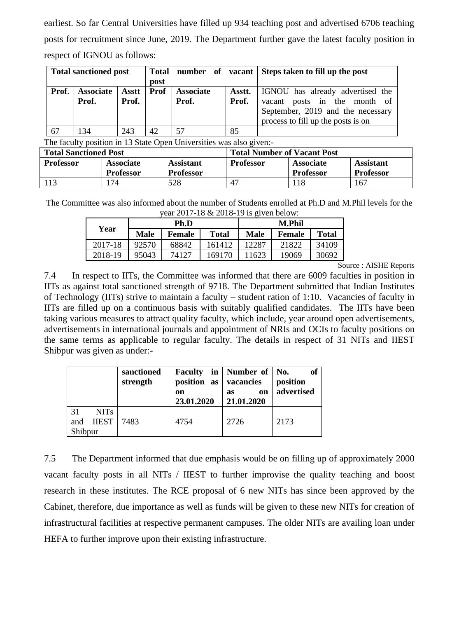earliest. So far Central Universities have filled up 934 teaching post and advertised 6706 teaching posts for recruitment since June, 2019. The Department further gave the latest faculty position in respect of IGNOU as follows:

| <b>Total sanctioned post</b> |                  |       |      |                  | Total number of vacant Steps taken to fill up the post |                                         |
|------------------------------|------------------|-------|------|------------------|--------------------------------------------------------|-----------------------------------------|
|                              |                  |       | post |                  |                                                        |                                         |
| Prof.                        | <b>Associate</b> | Asstt | Prof | <b>Associate</b> | Asstt.                                                 | <b>IGNOU</b> has already advertised the |
|                              | Prof.            | Prof. |      | Prof.<br>Prof.   |                                                        | vacant posts in the month of            |
|                              |                  |       |      |                  |                                                        | September, 2019 and the necessary       |
|                              |                  |       |      |                  |                                                        | process to fill up the posts is on      |
| 67                           | 134              | 243   | 42   | 57               | 85                                                     |                                         |

The faculty position in 13 State Open Universities was also given:-

| <b>Total Sanctioned Post</b> |                                      |                                      | <b>Total Number of Vacant Post</b> |                                      |                                      |
|------------------------------|--------------------------------------|--------------------------------------|------------------------------------|--------------------------------------|--------------------------------------|
| <b>Professor</b>             | <b>Associate</b><br><b>Professor</b> | <b>Assistant</b><br><b>Professor</b> | <b>Professor</b>                   | <b>Associate</b><br><b>Professor</b> | <b>Assistant</b><br><b>Professor</b> |
| 113                          | 74                                   | 528                                  | 47                                 | 118                                  | 167                                  |

The Committee was also informed about the number of Students enrolled at Ph.D and M.Phil levels for the year 2017-18 & 2018-19 is given below:

| Year    | Ph.D  |               |              | <b>M.Phil</b> |               |              |
|---------|-------|---------------|--------------|---------------|---------------|--------------|
|         | Male  | <b>Female</b> | <b>Total</b> | Male          | <b>Female</b> | <b>Total</b> |
| 2017-18 | 92570 | 68842         | 161412       | 12287         | 21822         | 34109        |
| 2018-19 | 95043 | 74127         | 169170       | 11623         | 19069         | 30692        |

Source : AISHE Reports

7.4 In respect to IITs, the Committee was informed that there are 6009 faculties in position in IITs as against total sanctioned strength of 9718. The Department submitted that Indian Institutes of Technology (IITs) strive to maintain a faculty – student ration of 1:10. Vacancies of faculty in IITs are filled up on a continuous basis with suitably qualified candidates. The IITs have been taking various measures to attract quality faculty, which include, year around open advertisements, advertisements in international journals and appointment of NRIs and OCIs to faculty positions on the same terms as applicable to regular faculty. The details in respect of 31 NITs and IIEST Shibpur was given as under:-

|                                                          | sanctioned<br>strength | position<br>as<br>on<br>23.01.2020 | Faculty in   Number of   No.<br>vacancies<br>on<br><b>as</b><br>21.01.2020 | of<br>position<br>advertised |
|----------------------------------------------------------|------------------------|------------------------------------|----------------------------------------------------------------------------|------------------------------|
| 31<br>NIT <sub>s</sub><br><b>IIEST</b><br>and<br>Shibpur | 7483                   | 4754                               | 2726                                                                       | 2173                         |

7.5 The Department informed that due emphasis would be on filling up of approximately 2000 vacant faculty posts in all NITs / IIEST to further improvise the quality teaching and boost research in these institutes. The RCE proposal of 6 new NITs has since been approved by the Cabinet, therefore, due importance as well as funds will be given to these new NITs for creation of infrastructural facilities at respective permanent campuses. The older NITs are availing loan under HEFA to further improve upon their existing infrastructure.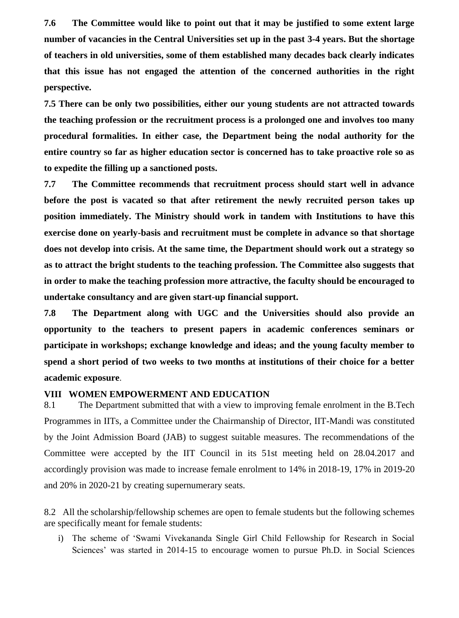**7.6 The Committee would like to point out that it may be justified to some extent large number of vacancies in the Central Universities set up in the past 3-4 years. But the shortage of teachers in old universities, some of them established many decades back clearly indicates that this issue has not engaged the attention of the concerned authorities in the right perspective.** 

**7.5 There can be only two possibilities, either our young students are not attracted towards the teaching profession or the recruitment process is a prolonged one and involves too many procedural formalities. In either case, the Department being the nodal authority for the entire country so far as higher education sector is concerned has to take proactive role so as to expedite the filling up a sanctioned posts.**

**7.7 The Committee recommends that recruitment process should start well in advance before the post is vacated so that after retirement the newly recruited person takes up position immediately. The Ministry should work in tandem with Institutions to have this exercise done on yearly-basis and recruitment must be complete in advance so that shortage does not develop into crisis. At the same time, the Department should work out a strategy so as to attract the bright students to the teaching profession. The Committee also suggests that in order to make the teaching profession more attractive, the faculty should be encouraged to undertake consultancy and are given start-up financial support.**

**7.8 The Department along with UGC and the Universities should also provide an opportunity to the teachers to present papers in academic conferences seminars or participate in workshops; exchange knowledge and ideas; and the young faculty member to spend a short period of two weeks to two months at institutions of their choice for a better academic exposure**.

#### **VIII WOMEN EMPOWERMENT AND EDUCATION**

8.1 The Department submitted that with a view to improving female enrolment in the B.Tech Programmes in IITs, a Committee under the Chairmanship of Director, IIT-Mandi was constituted by the Joint Admission Board (JAB) to suggest suitable measures. The recommendations of the Committee were accepted by the IIT Council in its 51st meeting held on 28.04.2017 and accordingly provision was made to increase female enrolment to 14% in 2018-19, 17% in 2019-20 and 20% in 2020-21 by creating supernumerary seats.

8.2 All the scholarship/fellowship schemes are open to female students but the following schemes are specifically meant for female students:

i) The scheme of 'Swami Vivekananda Single Girl Child Fellowship for Research in Social Sciences' was started in 2014-15 to encourage women to pursue Ph.D. in Social Sciences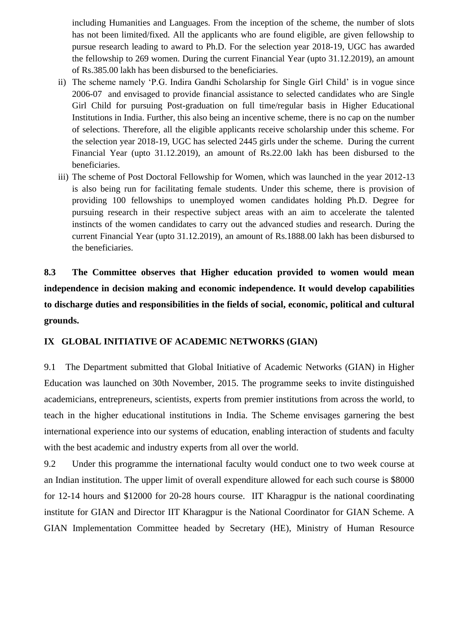including Humanities and Languages. From the inception of the scheme, the number of slots has not been limited/fixed. All the applicants who are found eligible, are given fellowship to pursue research leading to award to Ph.D. For the selection year 2018-19, UGC has awarded the fellowship to 269 women. During the current Financial Year (upto 31.12.2019), an amount of Rs.385.00 lakh has been disbursed to the beneficiaries.

- ii) The scheme namely 'P.G. Indira Gandhi Scholarship for Single Girl Child' is in vogue since 2006-07 and envisaged to provide financial assistance to selected candidates who are Single Girl Child for pursuing Post-graduation on full time/regular basis in Higher Educational Institutions in India. Further, this also being an incentive scheme, there is no cap on the number of selections. Therefore, all the eligible applicants receive scholarship under this scheme. For the selection year 2018-19, UGC has selected 2445 girls under the scheme. During the current Financial Year (upto 31.12.2019), an amount of Rs.22.00 lakh has been disbursed to the beneficiaries.
- iii) The scheme of Post Doctoral Fellowship for Women, which was launched in the year 2012-13 is also being run for facilitating female students. Under this scheme, there is provision of providing 100 fellowships to unemployed women candidates holding Ph.D. Degree for pursuing research in their respective subject areas with an aim to accelerate the talented instincts of the women candidates to carry out the advanced studies and research. During the current Financial Year (upto 31.12.2019), an amount of Rs.1888.00 lakh has been disbursed to the beneficiaries.

**8.3 The Committee observes that Higher education provided to women would mean independence in decision making and economic independence. It would develop capabilities to discharge duties and responsibilities in the fields of social, economic, political and cultural grounds.**

## **IX GLOBAL INITIATIVE OF ACADEMIC NETWORKS (GIAN)**

9.1 The Department submitted that Global Initiative of Academic Networks (GIAN) in Higher Education was launched on 30th November, 2015. The programme seeks to invite distinguished academicians, entrepreneurs, scientists, experts from premier institutions from across the world, to teach in the higher educational institutions in India. The Scheme envisages garnering the best international experience into our systems of education, enabling interaction of students and faculty with the best academic and industry experts from all over the world.

9.2 Under this programme the international faculty would conduct one to two week course at an Indian institution. The upper limit of overall expenditure allowed for each such course is \$8000 for 12-14 hours and \$12000 for 20-28 hours course. IIT Kharagpur is the national coordinating institute for GIAN and Director IIT Kharagpur is the National Coordinator for GIAN Scheme. A GIAN Implementation Committee headed by Secretary (HE), Ministry of Human Resource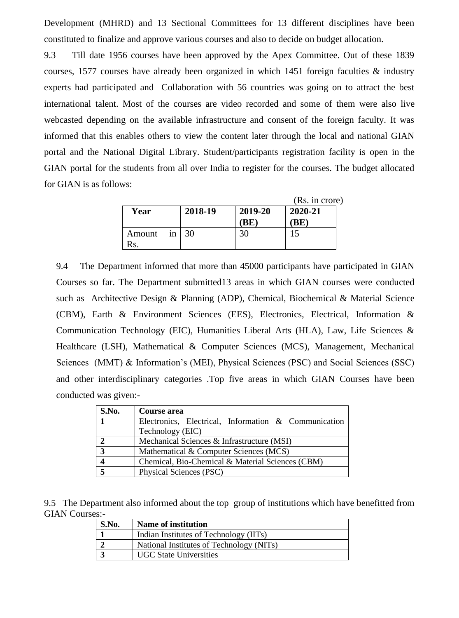Development (MHRD) and 13 Sectional Committees for 13 different disciplines have been constituted to finalize and approve various courses and also to decide on budget allocation.

9.3 Till date 1956 courses have been approved by the Apex Committee. Out of these 1839 courses, 1577 courses have already been organized in which 1451 foreign faculties & industry experts had participated and Collaboration with 56 countries was going on to attract the best international talent. Most of the courses are video recorded and some of them were also live webcasted depending on the available infrastructure and consent of the foreign faculty. It was informed that this enables others to view the content later through the local and national GIAN portal and the National Digital Library. Student/participants registration facility is open in the GIAN portal for the students from all over India to register for the courses. The budget allocated for GIAN is as follows:

|           |    |                 |         | (Rs. in crore) |  |
|-----------|----|-----------------|---------|----------------|--|
| Year      |    | 2018-19         | 2019-20 | 2020-21        |  |
|           |    |                 | BE      | (BE)           |  |
| Amount    | in | $\overline{30}$ | 30      |                |  |
| $\rm{Rs}$ |    |                 |         |                |  |

9.4 The Department informed that more than 45000 participants have participated in GIAN Courses so far. The Department submitted13 areas in which GIAN courses were conducted such as Architective Design & Planning (ADP), Chemical, Biochemical & Material Science (CBM), Earth & Environment Sciences (EES), Electronics, Electrical, Information & Communication Technology (EIC), Humanities Liberal Arts (HLA), Law, Life Sciences & Healthcare (LSH), Mathematical & Computer Sciences (MCS), Management, Mechanical Sciences (MMT) & Information's (MEI), Physical Sciences (PSC) and Social Sciences (SSC) and other interdisciplinary categories .Top five areas in which GIAN Courses have been conducted was given:-

| S.No. | Course area                                          |  |  |  |
|-------|------------------------------------------------------|--|--|--|
|       | Electronics, Electrical, Information & Communication |  |  |  |
|       | Technology (EIC)                                     |  |  |  |
|       | Mechanical Sciences & Infrastructure (MSI)           |  |  |  |
| 3     | Mathematical & Computer Sciences (MCS)               |  |  |  |
|       | Chemical, Bio-Chemical & Material Sciences (CBM)     |  |  |  |
|       | Physical Sciences (PSC)                              |  |  |  |

9.5 The Department also informed about the top group of institutions which have benefitted from GIAN Courses:-

| <b>S.No.</b> | Name of institution                      |
|--------------|------------------------------------------|
|              | Indian Institutes of Technology (IITs)   |
|              | National Institutes of Technology (NITs) |
|              | <b>UGC State Universities</b>            |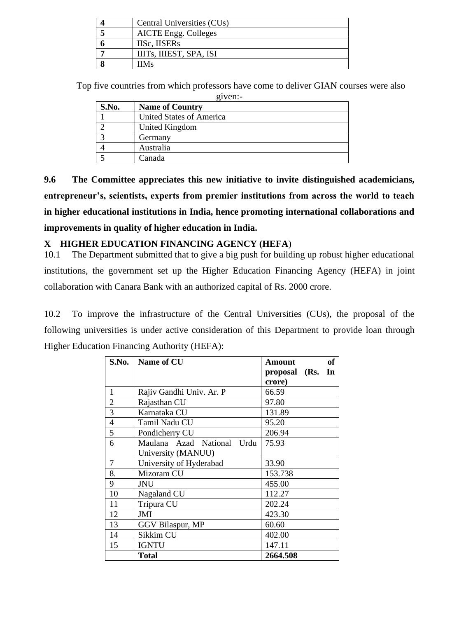| Central Universities (CUs)  |
|-----------------------------|
| <b>AICTE</b> Engg. Colleges |
| <b>IISc. IISERs</b>         |
| IIITs, IIIEST, SPA, ISI     |
| <b>IIMs</b>                 |

 Top five countries from which professors have come to deliver GIAN courses were also given:

| $\mathbf{L}$ v $\mathbf{L}$ i. |                          |  |  |
|--------------------------------|--------------------------|--|--|
| S.No.                          | <b>Name of Country</b>   |  |  |
|                                | United States of America |  |  |
|                                | United Kingdom           |  |  |
|                                | Germany                  |  |  |
|                                | Australia                |  |  |
|                                | Canada                   |  |  |

**9.6 The Committee appreciates this new initiative to invite distinguished academicians, entrepreneur's, scientists, experts from premier institutions from across the world to teach in higher educational institutions in India, hence promoting international collaborations and improvements in quality of higher education in India.**

## **X HIGHER EDUCATION FINANCING AGENCY (HEFA**)

10.1 The Department submitted that to give a big push for building up robust higher educational institutions, the government set up the Higher Education Financing Agency (HEFA) in joint collaboration with Canara Bank with an authorized capital of Rs. 2000 crore.

10.2 To improve the infrastructure of the Central Universities (CUs), the proposal of the following universities is under active consideration of this Department to provide loan through Higher Education Financing Authority (HEFA):

| S.No.          | Name of CU                 | <b>of</b><br>Amount |
|----------------|----------------------------|---------------------|
|                |                            | proposal (Rs. In    |
|                |                            | crore)              |
| 1              | Rajiv Gandhi Univ. Ar. P   | 66.59               |
| $\overline{c}$ | Rajasthan CU               | 97.80               |
| $\overline{3}$ | Karnataka CU               | 131.89              |
| $\overline{4}$ | Tamil Nadu CU              | 95.20               |
| 5              | Pondicherry CU             | 206.94              |
| 6              | Maulana Azad National Urdu | 75.93               |
|                | University (MANUU)         |                     |
| 7              | University of Hyderabad    | 33.90               |
| 8.             | Mizoram CU                 | 153.738             |
| 9              | JNU                        | 455.00              |
| 10             | Nagaland CU                | 112.27              |
| 11             | Tripura CU                 | 202.24              |
| 12             | JMI                        | 423.30              |
| 13             | GGV Bilaspur, MP           | 60.60               |
| 14             | Sikkim CU                  | 402.00              |
| 15             | <b>IGNTU</b>               | 147.11              |
|                | Total                      | 2664.508            |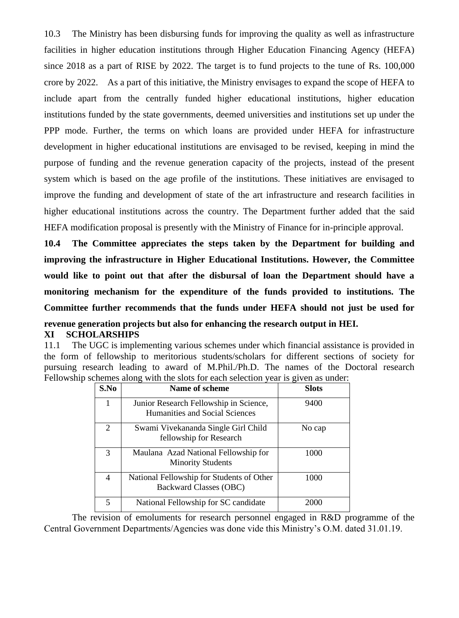10.3 The Ministry has been disbursing funds for improving the quality as well as infrastructure facilities in higher education institutions through Higher Education Financing Agency (HEFA) since 2018 as a part of RISE by 2022. The target is to fund projects to the tune of Rs. 100,000 crore by 2022. As a part of this initiative, the Ministry envisages to expand the scope of HEFA to include apart from the centrally funded higher educational institutions, higher education institutions funded by the state governments, deemed universities and institutions set up under the PPP mode. Further, the terms on which loans are provided under HEFA for infrastructure development in higher educational institutions are envisaged to be revised, keeping in mind the purpose of funding and the revenue generation capacity of the projects, instead of the present system which is based on the age profile of the institutions. These initiatives are envisaged to improve the funding and development of state of the art infrastructure and research facilities in higher educational institutions across the country. The Department further added that the said HEFA modification proposal is presently with the Ministry of Finance for in-principle approval.

**10.4 The Committee appreciates the steps taken by the Department for building and improving the infrastructure in Higher Educational Institutions. However, the Committee would like to point out that after the disbursal of loan the Department should have a monitoring mechanism for the expenditure of the funds provided to institutions. The Committee further recommends that the funds under HEFA should not just be used for revenue generation projects but also for enhancing the research output in HEI. XI SCHOLARSHIPS**

11.1 The UGC is implementing various schemes under which financial assistance is provided in the form of fellowship to meritorious students/scholars for different sections of society for pursuing research leading to award of M.Phil./Ph.D. The names of the Doctoral research Fellowship schemes along with the slots for each selection year is given as under:

| S.No           | Name of scheme                                                             | <b>Slots</b> |
|----------------|----------------------------------------------------------------------------|--------------|
| 1              | Junior Research Fellowship in Science,<br>Humanities and Social Sciences   | 9400         |
| $\overline{2}$ | Swami Vivekananda Single Girl Child<br>fellowship for Research             | No cap       |
| 3              | Maulana Azad National Fellowship for<br><b>Minority Students</b>           | 1000         |
| 4              | National Fellowship for Students of Other<br><b>Backward Classes (OBC)</b> | 1000         |
| 5              | National Fellowship for SC candidate                                       | 2000         |

The revision of emoluments for research personnel engaged in R&D programme of the Central Government Departments/Agencies was done vide this Ministry's O.M. dated 31.01.19.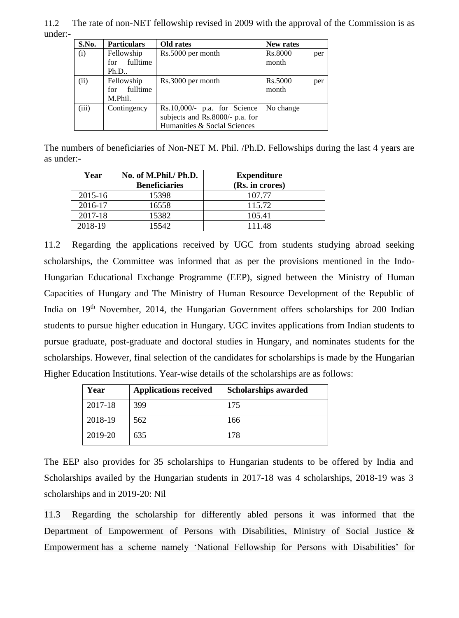11.2 The rate of non-NET fellowship revised in 2009 with the approval of the Commission is as under:-

| S.No. | <b>Particulars</b>                       | Old rates                                                                                         | New rates               |
|-------|------------------------------------------|---------------------------------------------------------------------------------------------------|-------------------------|
| (i)   | Fellowship<br>fulltime<br>for<br>Ph.D.   | Rs.5000 per month                                                                                 | Rs.8000<br>per<br>month |
| (ii)  | Fellowship<br>fulltime<br>for<br>M.Phil. | Rs.3000 per month                                                                                 | Rs.5000<br>per<br>month |
| (iii) | Contingency                              | $Rs.10,000/-$ p.a. for Science<br>subjects and Rs.8000/- p.a. for<br>Humanities & Social Sciences | No change               |

The numbers of beneficiaries of Non-NET M. Phil. /Ph.D. Fellowships during the last 4 years are as under:-

| Year    | No. of M.Phil./ Ph.D.<br><b>Beneficiaries</b> | <b>Expenditure</b><br>(Rs. in crores) |
|---------|-----------------------------------------------|---------------------------------------|
| 2015-16 | 15398                                         | 107.77                                |
| 2016-17 | 16558                                         | 115.72                                |
| 2017-18 | 15382                                         | 105.41                                |
| 2018-19 | 15542.                                        | 111.48                                |

11.2 Regarding the applications received by UGC from students studying abroad seeking scholarships, the Committee was informed that as per the provisions mentioned in the Indo-Hungarian Educational Exchange Programme (EEP), signed between the Ministry of Human Capacities of Hungary and The Ministry of Human Resource Development of the Republic of India on 19<sup>th</sup> November, 2014, the Hungarian Government offers scholarships for 200 Indian students to pursue higher education in Hungary. UGC invites applications from Indian students to pursue graduate, post-graduate and doctoral studies in Hungary, and nominates students for the scholarships. However, final selection of the candidates for scholarships is made by the Hungarian Higher Education Institutions. Year-wise details of the scholarships are as follows:

| Year    | <b>Applications received</b> | <b>Scholarships awarded</b> |
|---------|------------------------------|-----------------------------|
| 2017-18 | 399                          | 175                         |
| 2018-19 | 562                          | 166                         |
| 2019-20 | 635                          | 178                         |

The EEP also provides for 35 scholarships to Hungarian students to be offered by India and Scholarships availed by the Hungarian students in 2017-18 was 4 scholarships, 2018-19 was 3 scholarships and in 2019-20: Nil

11.3 Regarding the scholarship for differently abled persons it was informed that the Department of Empowerment of Persons with Disabilities, Ministry of Social Justice & Empowerment has a scheme namely 'National Fellowship for Persons with Disabilities' for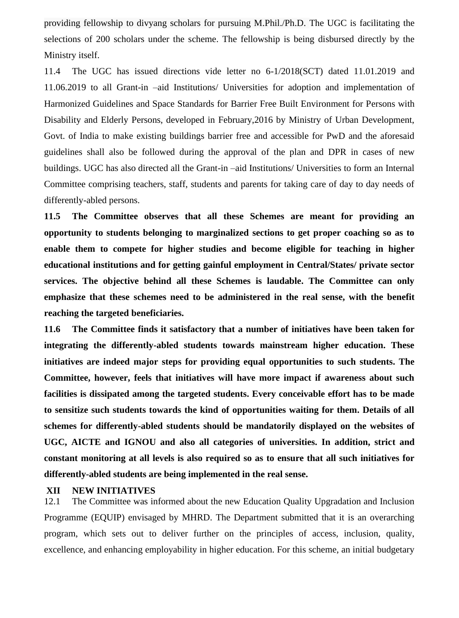providing fellowship to divyang scholars for pursuing M.Phil./Ph.D. The UGC is facilitating the selections of 200 scholars under the scheme. The fellowship is being disbursed directly by the Ministry itself.

11.4 The UGC has issued directions vide letter no 6-1/2018(SCT) dated 11.01.2019 and 11.06.2019 to all Grant-in –aid Institutions/ Universities for adoption and implementation of Harmonized Guidelines and Space Standards for Barrier Free Built Environment for Persons with Disability and Elderly Persons, developed in February,2016 by Ministry of Urban Development, Govt. of India to make existing buildings barrier free and accessible for PwD and the aforesaid guidelines shall also be followed during the approval of the plan and DPR in cases of new buildings. UGC has also directed all the Grant-in –aid Institutions/ Universities to form an Internal Committee comprising teachers, staff, students and parents for taking care of day to day needs of differently-abled persons.

**11.5 The Committee observes that all these Schemes are meant for providing an opportunity to students belonging to marginalized sections to get proper coaching so as to enable them to compete for higher studies and become eligible for teaching in higher educational institutions and for getting gainful employment in Central/States/ private sector services. The objective behind all these Schemes is laudable. The Committee can only emphasize that these schemes need to be administered in the real sense, with the benefit reaching the targeted beneficiaries.** 

**11.6 The Committee finds it satisfactory that a number of initiatives have been taken for integrating the differently-abled students towards mainstream higher education. These initiatives are indeed major steps for providing equal opportunities to such students. The Committee, however, feels that initiatives will have more impact if awareness about such facilities is dissipated among the targeted students. Every conceivable effort has to be made to sensitize such students towards the kind of opportunities waiting for them. Details of all schemes for differently-abled students should be mandatorily displayed on the websites of UGC, AICTE and IGNOU and also all categories of universities. In addition, strict and constant monitoring at all levels is also required so as to ensure that all such initiatives for differently-abled students are being implemented in the real sense.**

#### **XII NEW INITIATIVES**

12.1 The Committee was informed about the new Education Quality Upgradation and Inclusion Programme (EQUIP) envisaged by MHRD. The Department submitted that it is an overarching program, which sets out to deliver further on the principles of access, inclusion, quality, excellence, and enhancing employability in higher education. For this scheme, an initial budgetary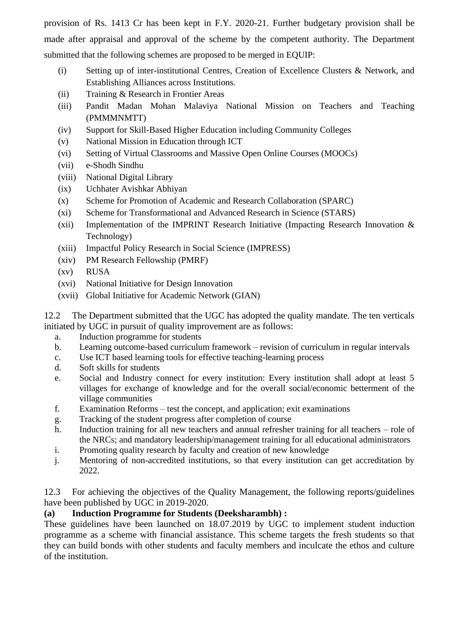provision of Rs. 1413 Cr has been kept in F.Y. 2020-21. Further budgetary provision shall be made after appraisal and approval of the scheme by the competent authority. The Department submitted that the following schemes are proposed to be merged in EQUIP:

- (i) Setting up of inter-institutional Centres, Creation of Excellence Clusters & Network, and Establishing Alliances across Institutions.
- (ii) Training & Research in Frontier Areas
- (iii) Pandit Madan Mohan Malaviya National Mission on Teachers and Teaching (PMMMNMTT)
- (iv) Support for Skill-Based Higher Education including Community Colleges
- (v) National Mission in Education through ICT
- (vi) Setting of Virtual Classrooms and Massive Open Online Courses (MOOCs)
- (vii) e-Shodh Sindhu
- (viii) National Digital Library
- (ix) Uchhater Avishkar Abhiyan
- (x) Scheme for Promotion of Academic and Research Collaboration (SPARC)
- (xi) Scheme for Transformational and Advanced Research in Science (STARS)
- (xii) Implementation of the IMPRINT Research Initiative (Impacting Research Innovation  $\&$ Technology)
- (xiii) Impactful Policy Research in Social Science (IMPRESS)
- (xiv) PM Research Fellowship (PMRF)
- (xv) RUSA
- (xvi) National Initiative for Design Innovation
- (xvii) Global Initiative for Academic Network (GIAN)

12.2 The Department submitted that the UGC has adopted the quality mandate. The ten verticals initiated by UGC in pursuit of quality improvement are as follows:

- a. Induction programme for students
- b. Learning outcome-based curriculum framework revision of curriculum in regular intervals
- c. Use ICT based learning tools for effective teaching-learning process
- d. Soft skills for students
- e. Social and Industry connect for every institution: Every institution shall adopt at least 5 villages for exchange of knowledge and for the overall social/economic betterment of the village communities
- f. Examination Reforms test the concept, and application; exit examinations
- g. Tracking of the student progress after completion of course
- h. Induction training for all new teachers and annual refresher training for all teachers role of the NRCs; and mandatory leadership/management training for all educational administrators
- i. Promoting quality research by faculty and creation of new knowledge
- j. Mentoring of non-accredited institutions, so that every institution can get accreditation by 2022.

12.3 For achieving the objectives of the Quality Management, the following reports/guidelines have been published by UGC in 2019-2020.

## **(a) Induction Programme for Students (Deeksharambh) :**

These guidelines have been launched on 18.07.2019 by UGC to implement student induction programme as a scheme with financial assistance. This scheme targets the fresh students so that they can build bonds with other students and faculty members and inculcate the ethos and culture of the institution.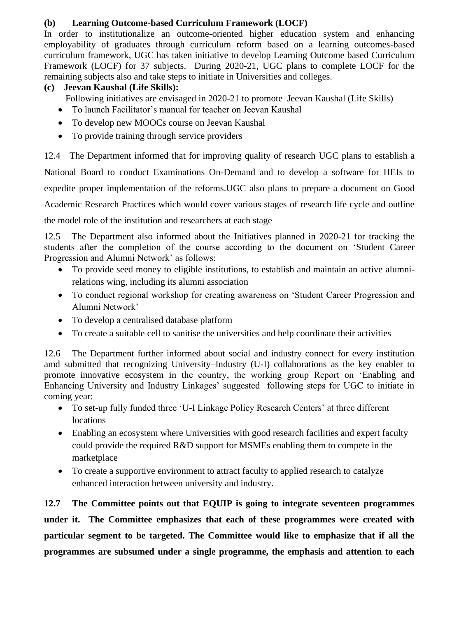## **(b) Learning Outcome-based Curriculum Framework (LOCF)**

In order to institutionalize an outcome-oriented higher education system and enhancing employability of graduates through curriculum reform based on a learning outcomes-based curriculum framework, UGC has taken initiative to develop Learning Outcome based Curriculum Framework (LOCF) for 37 subjects. During 2020-21, UGC plans to complete LOCF for the remaining subjects also and take steps to initiate in Universities and colleges.

## **(c) Jeevan Kaushal (Life Skills):**

- Following initiatives are envisaged in 2020-21 to promote Jeevan Kaushal (Life Skills)
- To launch Facilitator's manual for teacher on Jeevan Kaushal
- To develop new MOOCs course on Jeevan Kaushal
- To provide training through service providers

12.4The Department informed that for improving quality of research UGC plans to establish a National Board to conduct Examinations On-Demand and to develop a software for HEIs to expedite proper implementation of the reforms.UGC also plans to prepare a document on Good Academic Research Practices which would cover various stages of research life cycle and outline

the model role of the institution and researchers at each stage

12.5The Department also informed about the Initiatives planned in 2020-21 for tracking the students after the completion of the course according to the document on 'Student Career Progression and Alumni Network' as follows:

- To provide seed money to eligible institutions, to establish and maintain an active alumnirelations wing, including its alumni association
- To conduct regional workshop for creating awareness on 'Student Career Progression and Alumni Network'
- To develop a centralised database platform
- To create a suitable cell to sanitise the universities and help coordinate their activities

12.6 The Department further informed about social and industry connect for every institution amd submitted that recognizing University–Industry (U-I) collaborations as the key enabler to promote innovative ecosystem in the country, the working group Report on 'Enabling and Enhancing University and Industry Linkages' suggested following steps for UGC to initiate in coming year:

- To set-up fully funded three 'U-I Linkage Policy Research Centers' at three different locations
- Enabling an ecosystem where Universities with good research facilities and expert faculty could provide the required R&D support for MSMEs enabling them to compete in the marketplace
- To create a supportive environment to attract faculty to applied research to catalyze enhanced interaction between university and industry.

**12.7 The Committee points out that EQUIP is going to integrate seventeen programmes under it. The Committee emphasizes that each of these programmes were created with particular segment to be targeted. The Committee would like to emphasize that if all the programmes are subsumed under a single programme, the emphasis and attention to each**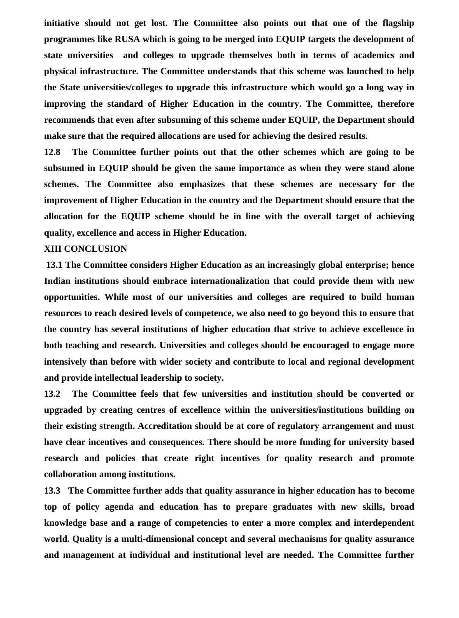**initiative should not get lost. The Committee also points out that one of the flagship programmes like RUSA which is going to be merged into EQUIP targets the development of state universities and colleges to upgrade themselves both in terms of academics and physical infrastructure. The Committee understands that this scheme was launched to help the State universities/colleges to upgrade this infrastructure which would go a long way in improving the standard of Higher Education in the country. The Committee, therefore recommends that even after subsuming of this scheme under EQUIP, the Department should make sure that the required allocations are used for achieving the desired results.** 

**12.8 The Committee further points out that the other schemes which are going to be subsumed in EQUIP should be given the same importance as when they were stand alone schemes. The Committee also emphasizes that these schemes are necessary for the improvement of Higher Education in the country and the Department should ensure that the allocation for the EQUIP scheme should be in line with the overall target of achieving quality, excellence and access in Higher Education.** 

#### **XIII CONCLUSION**

**13.1 The Committee considers Higher Education as an increasingly global enterprise; hence Indian institutions should embrace internationalization that could provide them with new opportunities. While most of our universities and colleges are required to build human resources to reach desired levels of competence, we also need to go beyond this to ensure that the country has several institutions of higher education that strive to achieve excellence in both teaching and research. Universities and colleges should be encouraged to engage more intensively than before with wider society and contribute to local and regional development and provide intellectual leadership to society.** 

**13.2 The Committee feels that few universities and institution should be converted or upgraded by creating centres of excellence within the universities/institutions building on their existing strength. Accreditation should be at core of regulatory arrangement and must have clear incentives and consequences. There should be more funding for university based research and policies that create right incentives for quality research and promote collaboration among institutions.**

**13.3 The Committee further adds that quality assurance in higher education has to become top of policy agenda and education has to prepare graduates with new skills, broad knowledge base and a range of competencies to enter a more complex and interdependent world. Quality is a multi-dimensional concept and several mechanisms for quality assurance and management at individual and institutional level are needed. The Committee further**